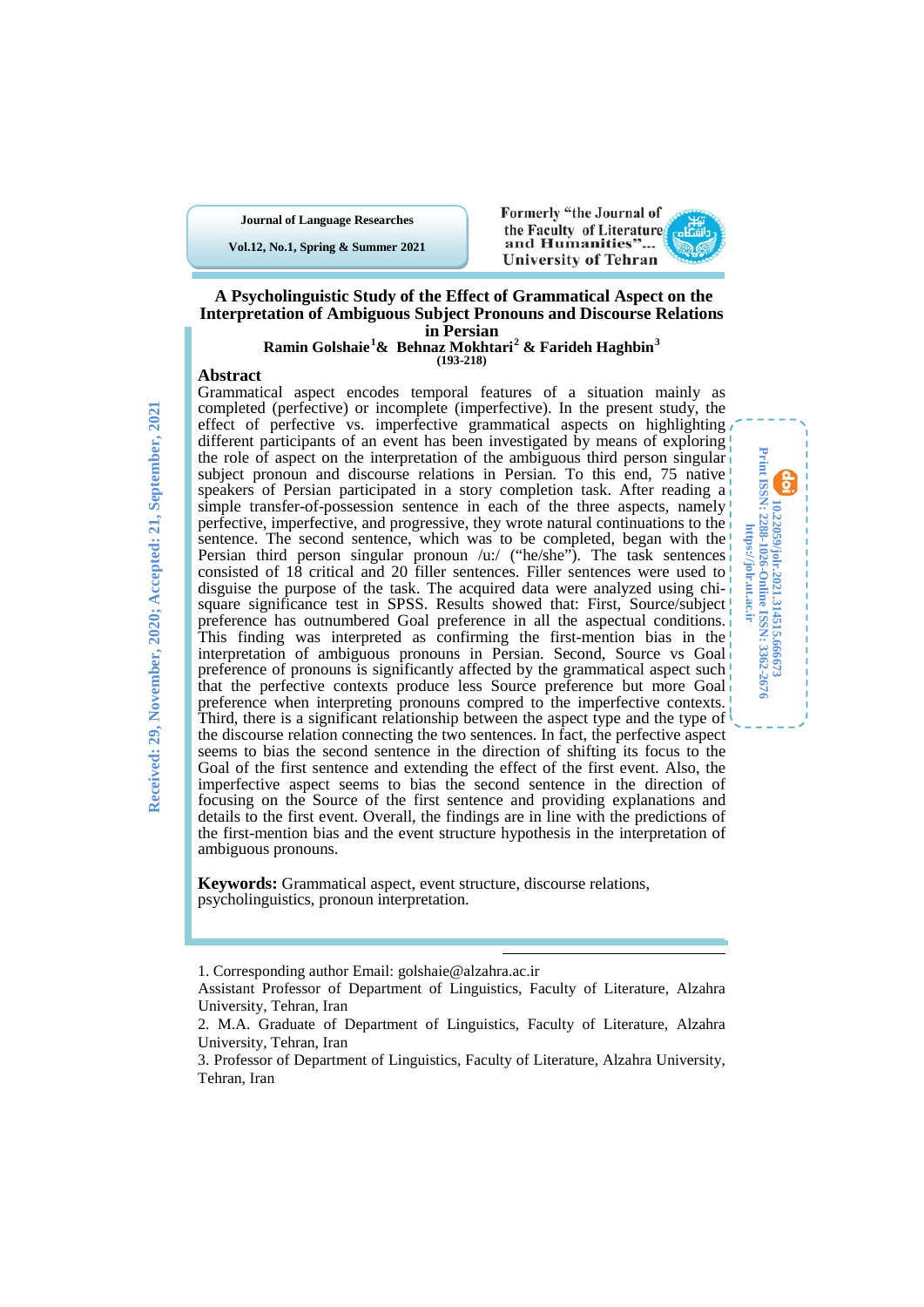**Journal of Language Researches**

**Vol.12, No.1, Spring & Summer 2021**



**10.22059/jolr.2021.314515.666673 Print ISSN: 2288-1026-Online ISSN: 3362-2676 https://jolr.ut.ac.ir**

10.22059/johr.2021.314515.666673<br>Print ISSN: 2288-1026-Online ISSN: 3362-2676 https://jolr.ut.ac.ir

### **A Psycholinguistic Study of the Effect of Grammatical Aspect on the Interpretation of Ambiguous Subject Pronouns and Discourse Relations in Persian**

## **Ramin Golshaie[1](#page-0-0) & Behnaz Mokhtari[2](#page-0-1) & Farideh Haghbin[3](#page-0-2) (193-218)**

### **Abstract**

Grammatical aspect encodes temporal features of a situation mainly as completed (perfective) or incomplete (imperfective). In the present study, the effect of perfective vs. imperfective grammatical aspects on highlighting different participants of an event has been investigated by means of exploring the role of aspect on the interpretation of the ambiguous third person singular subject pronoun and discourse relations in Persian. To this end, 75 native speakers of Persian participated in a story completion task. After reading a simple transfer-of-possession sentence in each of the three aspects, namely perfective, imperfective, and progressive, they wrote natural continuations to the sentence. The second sentence, which was to be completed, began with the Persian third person singular pronoun /u:/ ("he/she"). The task sentences consisted of  $18$  critical and  $20$  filler sentences. Filler sentences were used to disguise the purpose of the task. The acquired data were analyzed using chisquare significance test in SPSS. Results showed that: First, Source/subject! preference has outnumbered Goal preference in all the aspectual conditions. This finding was interpreted as confirming the first-mention bias in the interpretation of ambiguous pronouns in Persian. Second, Source vs Goal preference of pronouns is significantly affected by the grammatical aspect such that the perfective contexts produce less Source preference but more Goal preference when interpreting pronouns compred to the imperfective contexts. Third, there is a significant relationship between the aspect type and the type of the discourse relation connecting the two sentences. In fact, the perfective aspect seems to bias the second sentence in the direction of shifting its focus to the Goal of the first sentence and extending the effect of the first event. Also, the imperfective aspect seems to bias the second sentence in the direction of focusing on the Source of the first sentence and providing explanations and details to the first event. Overall, the findings are in line with the predictions of the first-mention bias and the event structure hypothesis in the interpretation of ambiguous pronouns.

**Keywords:** Grammatical aspect, event structure, discourse relations, psycholinguistics, pronoun interpretation.

1. Corresponding author Email: golshaie@alzahra.ac.ir

<u>.</u>

<span id="page-0-0"></span>Assistant Professor of Department of Linguistics, Faculty of Literature, Alzahra University, Tehran, Iran

<span id="page-0-1"></span><sup>2.</sup> M.A. Graduate of Department of Linguistics, Faculty of Literature, Alzahra University, Tehran, Iran

<span id="page-0-2"></span><sup>3.</sup> Professor of Department of Linguistics, Faculty of Literature, Alzahra University, Tehran, Iran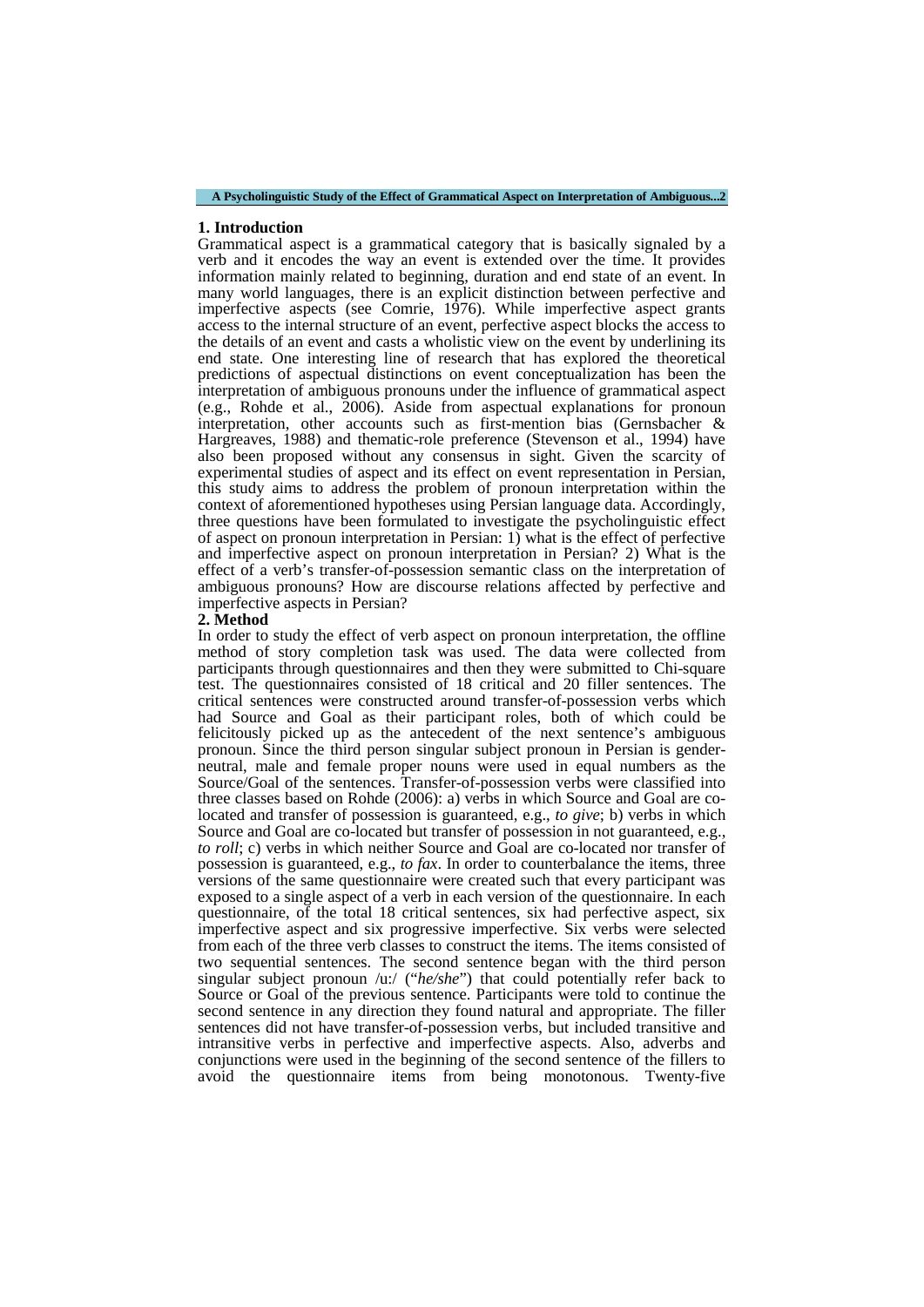#### **1. Introduction**

Grammatical aspect is a grammatical category that is basically signaled by a verb and it encodes the way an event is extended over the time. It provides information mainly related to beginning, duration and end state of an event. In many world languages, there is an explicit distinction between perfective and imperfective aspects (see Comrie, 1976). While imperfective aspect grants access to the internal structure of an event, perfective aspect blocks the access to the details of an event and casts a wholistic view on the event by underlining its end state. One interesting line of research that has explored the theoretical predictions of aspectual distinctions on event conceptualization has been the interpretation of ambiguous pronouns under the influence of grammatical aspect (e.g., Rohde et al., 2006). Aside from aspectual explanations for pronoun interpretation, other accounts such as first-mention bias (Gernsbacher & Hargreaves, 1988) and thematic-role preference (Stevenson et al., 1994) have also been proposed without any consensus in sight. Given the scarcity of experimental studies of aspect and its effect on event representation in Persian, this study aims to address the problem of pronoun interpretation within the context of aforementioned hypotheses using Persian language data. Accordingly, three questions have been formulated to investigate the psycholinguistic effect of aspect on pronoun interpretation in Persian: 1) what is the effect of perfective and imperfective aspect on pronoun interpretation in Persian? 2) What is the effect of a verb's transfer-of-possession semantic class on the interpretation of ambiguous pronouns? How are discourse relations affected by perfective and imperfective aspects in Persian?

#### **2. Method**

In order to study the effect of verb aspect on pronoun interpretation, the offline method of story completion task was used. The data were collected from participants through questionnaires and then they were submitted to Chi-square test. The questionnaires consisted of 18 critical and 20 filler sentences. The critical sentences were constructed around transfer-of-possession verbs which had Source and Goal as their participant roles, both of which could be felicitously picked up as the antecedent of the next sentence's ambiguous pronoun. Since the third person singular subject pronoun in Persian is genderneutral, male and female proper nouns were used in equal numbers as the Source/Goal of the sentences. Transfer-of-possession verbs were classified into three classes based on Rohde (2006): a) verbs in which Source and Goal are colocated and transfer of possession is guaranteed, e.g., *to give*; b) verbs in which Source and Goal are co-located but transfer of possession in not guaranteed, e.g., *to roll*; c) verbs in which neither Source and Goal are co-located nor transfer of possession is guaranteed, e.g., *to fax*. In order to counterbalance the items, three versions of the same questionnaire were created such that every participant was exposed to a single aspect of a verb in each version of the questionnaire. In each questionnaire, of the total 18 critical sentences, six had perfective aspect, six imperfective aspect and six progressive imperfective. Six verbs were selected from each of the three verb classes to construct the items. The items consisted of two sequential sentences. The second sentence began with the third person singular subject pronoun /u:/ ("*he/she*") that could potentially refer back to Source or Goal of the previous sentence. Participants were told to continue the second sentence in any direction they found natural and appropriate. The filler sentences did not have transfer-of-possession verbs, but included transitive and intransitive verbs in perfective and imperfective aspects. Also, adverbs and conjunctions were used in the beginning of the second sentence of the fillers to avoid the questionnaire items from being monotonous. Twenty-five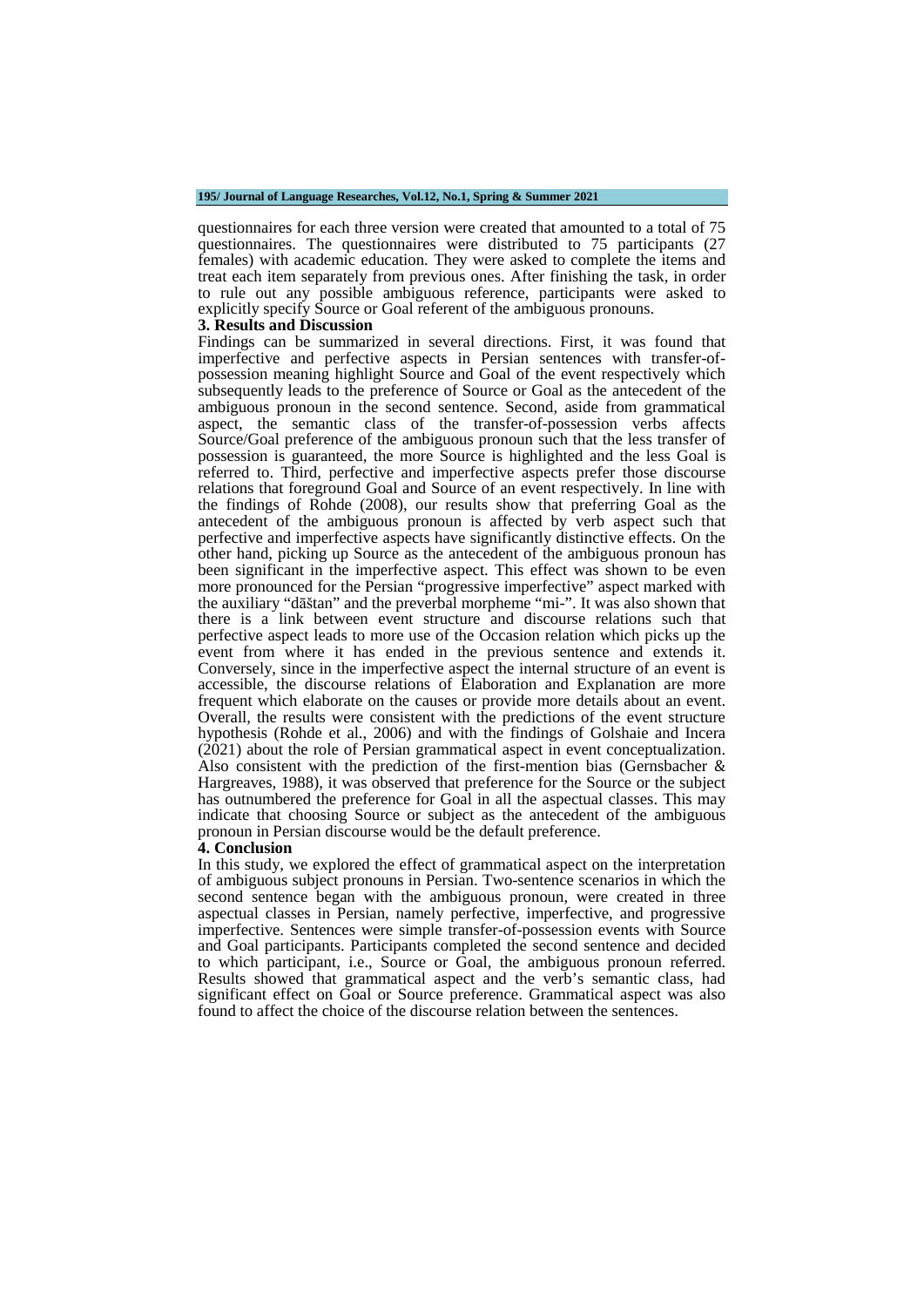#### **195/ Journal of Language Researches, Vol.12, No.1, Spring & Summer 2021**

questionnaires for each three version were created that amounted to a total of 75 questionnaires. The questionnaires were distributed to 75 participants (27 females) with academic education. They were asked to complete the items and treat each item separately from previous ones. After finishing the task, in order to rule out any possible ambiguous reference, participants were asked to explicitly specify Source or Goal referent of the ambiguous pronouns.

#### **3. Results and Discussion**

Findings can be summarized in several directions. First, it was found that imperfective and perfective aspects in Persian sentences with transfer-ofpossession meaning highlight Source and Goal of the event respectively which subsequently leads to the preference of Source or Goal as the antecedent of the ambiguous pronoun in the second sentence. Second, aside from grammatical aspect, the semantic class of the transfer-of-possession verbs affects Source/Goal preference of the ambiguous pronoun such that the less transfer of possession is guaranteed, the more Source is highlighted and the less Goal is referred to. Third, perfective and imperfective aspects prefer those discourse relations that foreground Goal and Source of an event respectively. In line with the findings of Rohde (2008), our results show that preferring Goal as the antecedent of the ambiguous pronoun is affected by verb aspect such that perfective and imperfective aspects have significantly distinctive effects. On the other hand, picking up Source as the antecedent of the ambiguous pronoun has been significant in the imperfective aspect. This effect was shown to be even more pronounced for the Persian "progressive imperfective" aspect marked with the auxiliary "dāštan" and the preverbal morpheme "mi-". It was also shown that there is a link between event structure and discourse relations such that perfective aspect leads to more use of the Occasion relation which picks up the event from where it has ended in the previous sentence and extends it. Conversely, since in the imperfective aspect the internal structure of an event is accessible, the discourse relations of Elaboration and Explanation are more frequent which elaborate on the causes or provide more details about an event. Overall, the results were consistent with the predictions of the event structure hypothesis (Rohde et al., 2006) and with the findings of Golshaie and Incera (2021) about the role of Persian grammatical aspect in event conceptualization. Also consistent with the prediction of the first-mention bias (Gernsbacher & Hargreaves, 1988), it was observed that preference for the Source or the subject has outnumbered the preference for Goal in all the aspectual classes. This may indicate that choosing Source or subject as the antecedent of the ambiguous pronoun in Persian discourse would be the default preference.

#### **4. Conclusion**

In this study, we explored the effect of grammatical aspect on the interpretation of ambiguous subject pronouns in Persian. Two-sentence scenarios in which the second sentence began with the ambiguous pronoun, were created in three aspectual classes in Persian, namely perfective, imperfective, and progressive imperfective. Sentences were simple transfer-of-possession events with Source and Goal participants. Participants completed the second sentence and decided to which participant, i.e., Source or Goal, the ambiguous pronoun referred. Results showed that grammatical aspect and the verb's semantic class, had significant effect on Goal or Source preference. Grammatical aspect was also found to affect the choice of the discourse relation between the sentences.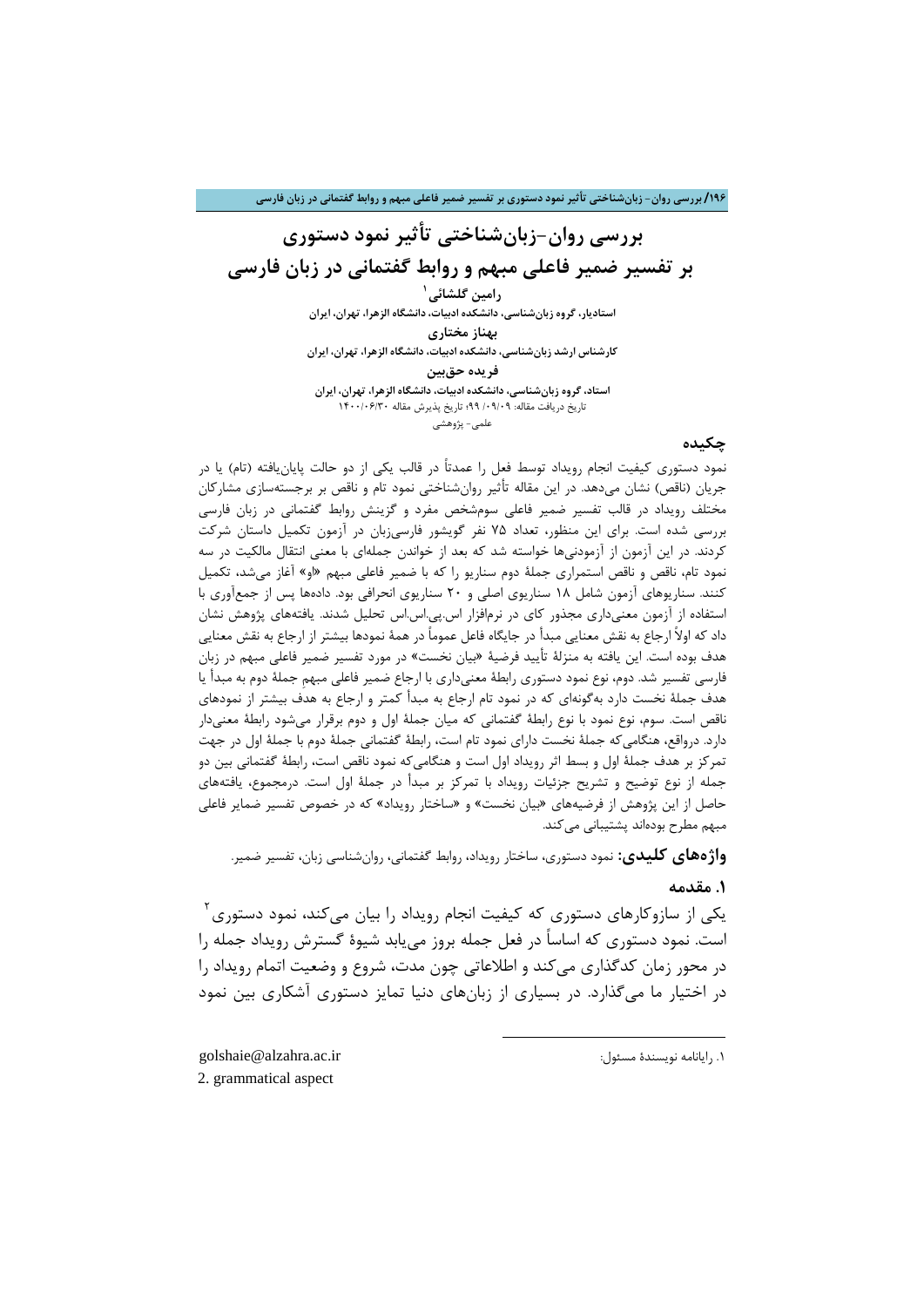**/196 بررسی روان- زبانشناختی تأثیر نمود دستوري بر تفسیر ضمیر فاعلی مبهم و روابط گفتمانی در زبان فارسی**

## **بررسی روان-زبانشناختی تأثیر نمود دستوري بر تفسیر ضمیر فاعلی مبهم و روابط گفتمانی در زبان فارسی**

**1 رامین گلشائی استادیار، گروه زبانشناسی، دانشکده ادبیات، دانشگاه الزهرا، تهران، ایران**

**بهناز مختاري کارشناس ارشد زبانشناسی، دانشکده ادبیات، دانشگاه الزهرا، تهران، ایران**

**فریده حقبین**

**استاد، گروه زبانشناسی، دانشکده ادبیات، دانشگاه الزهرا، تهران، ایران** تاریخ دریافت مقاله: /09/09 99؛ تاریخ پذیرش مقاله 1400/06/30 علمی- پژوهشی

### **چکیده**

نمود دستوري کیفیت انجام رویداد توسط فعل را عمدتاً در قالب یکی از دو حالت پایا[ن](#page-3-0)یافته (تام) یا در جریان (ناقص) نشان میدهد. در این مقاله تأثیر روانشناختی نمود تام و ناقص بر برجستهسازي مشارکان مختلف رویداد در قالب تفسیر ضمیر فاعلی سومشخص مفرد و گزینش روابط گفتمانی در زبان فارسی بررسی شده است. براي این منظور، تعداد 75 نفر گویشور فارسیزبان در آزمون تکمیل داستان شرکت کردند. در این آزمون از آزمودنیها خواسته شد که بعد از خواندن جملهاي با معنی انتقال مالکیت در سه نمود تام، ناقص و ناقص استمراري جملۀ دوم سناریو را که با ضمیر فاعلی مبهم «او» آغاز میشد، تکمیل کنند. سناریوهاي آزمون شامل 18 سناریوي اصلی و 20 سناریوي انحرافی بود. دادهها پس از جمعآوري با استفاده از آزمون معنیداري مجذور کاي در نرمافزار اس.پی.اس.اس تحلیل شدند. یافتههاي پژوهش نشان داد که اولاً ارجاع به نقش معنایی مبدأ در جایگاه فاعل عموماً در همۀ نمودها بیشتر از ارجاع به نقش معنایی هدف بوده است. این یافته به منزلۀ تأیید فرضیۀ «بیان نخست» در مورد تفسیر ضمیر فاعلی مبهم در زبان فارسی تفسیر شد. دوم، نوع نمود دستوري رابطۀ معنیداري با ارجاع ضمیر فاعلی مبهمِ جملۀ دوم به مبدأ یا هدف جملۀ نخست دارد بهگونهاي که در نمود تام ارجاع به مبدأ کمتر و ارجاع به هدف بیشتر از نمودهاي ناقص است. سوم، نوع نمود با نوع رابطۀ گفتمانی که میان جملۀ اول و دوم برقرار میشود رابطۀ معنیدار دارد. درواقع، هنگامیکه جملۀ نخست داراي نمود تام است، رابطۀ گفتمانی جملۀ دوم با جملۀ اول در جهت تمرکز بر هدف جملۀ اول و بسط اثر رویداد اول است و هنگامیکه نمود ناقص است، رابطۀ گفتمانی بین دو جمله از نوع توضیح و تشریح جزئیات رویداد با تمرکز بر مبدأ در جملۀ اول است. درمجموع، یافتههاي حاصل از این پژوهش از فرضیههاي «بیان نخست» و «ساختار رویداد» که در خصوص تفسیر ضمایر فاعلی مبهم مطرح بودهاند پشتیبانی میکند.

**واژههاي کلیدي:** نمود دستوري، ساختار رویداد، روابط گفتمانی، روانشناسی زبان، تفسیر ضمیر.

### **.1 مقدمه**

 $^7$ یکی از سازوکارهای دستوری که کیفیت انجام رویداد را بیان میکند، نمود دستوری است. نمود دستوري که اساساً در فعل جمله بروز مییابد شیوة گسترش رویداد جمله را در محور زمان کدگذاري میکند و اطلاعاتی چون مدت، شروع و وضعیت اتمام رویداد را در اختیار ما میگذارد. در بسیاري از زبانهاي دنیا تمایز دستوري آشکاري بین نمود

**.** 

<span id="page-3-1"></span><span id="page-3-0"></span>golshaie@alzahra.ac.ir :مسئول نویسندة رایانامه .1 2. grammatical aspect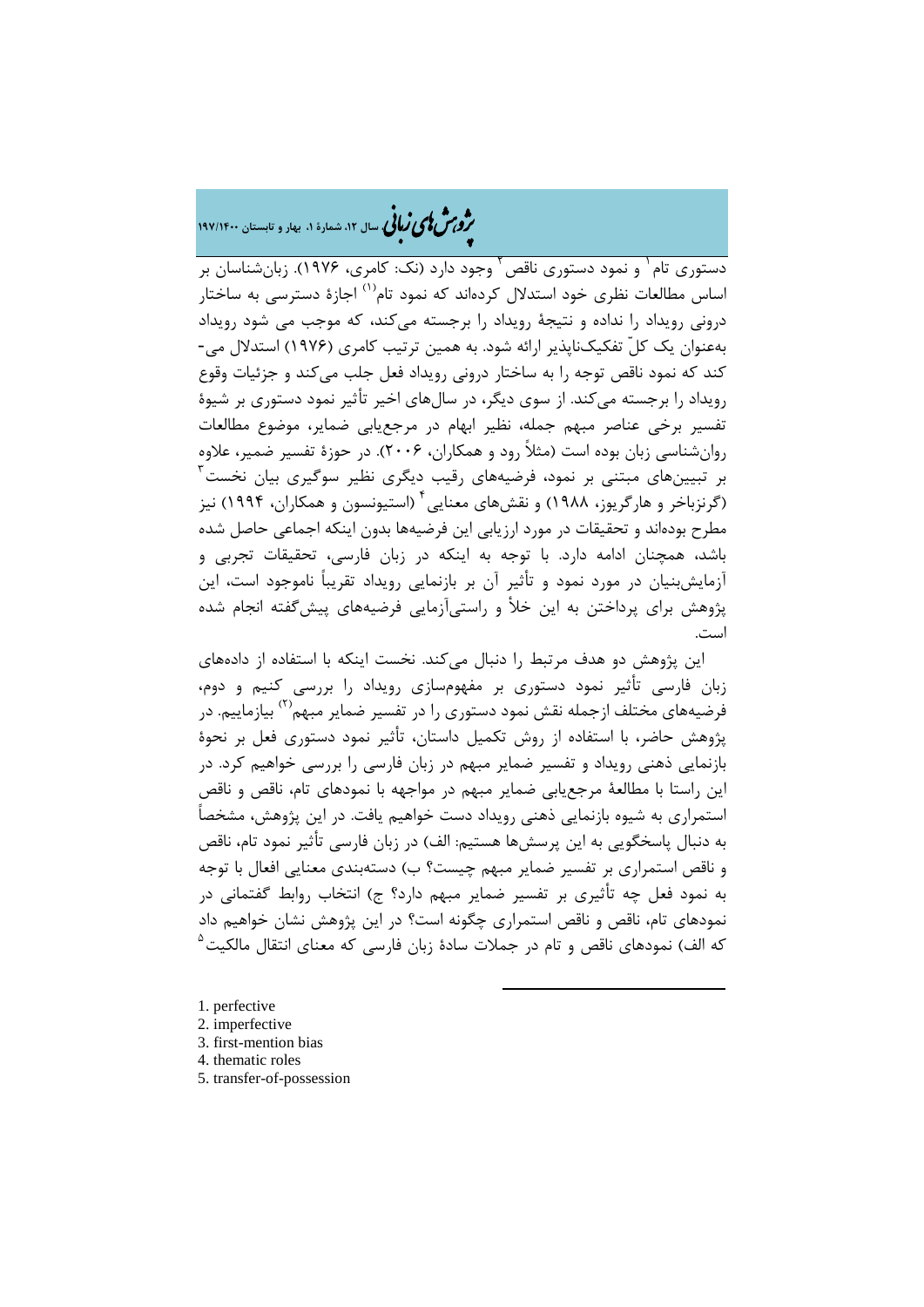# ه<br>مر*دم شمالی زبا*نی سال ۱۲، شمارهٔ ۱، بهار و تابستان ۱۹۷/۱۴۰۰

[2](#page-4-1) دستوري تام [1](#page-4-0) و نمود دستوري ناقص وجود دارد (نک: کامري، 1976). زبانشناسان بر اساس مطالعات نظری خود استدلال کردهاند که نمود تام<sup>(۱)</sup> اجازهٔ دسترسی به ساختا<sub>د</sub> درونی رویداد را نداده و نتیجۀ رویداد را برجسته میکند، که موجب می شود رویداد بهعنوان یک کلّ تفکیکناپذیر ارائه شود. به همین ترتیب کامري (1976) استدلال می- کند که نمود ناقص توجه را به ساختار درونی رویداد فعل جلب میکند و جزئیات وقوع رویداد را برجسته میکند. از سوي دیگر، در سالهاي اخیر تأثیر نمود دستوري بر شیوة تفسیر برخی عناصر مبهم جمله، نظیر ابهام در مرجعیابی ضمایر، موضوع مطالعات روانشناسی زبان بوده است (مثلاً رود و همکاران، 2006). در حوزة تفسیر ضمیر، علاوه [3](#page-4-2) بر تبیینهاي مبتنی بر نمود، فرضیههاي رقیب دیگري نظیر سوگیري بیان نخست (گرنزباخر و هارگریوز، ۱۹۸۸) و نقشهای معنایی ٔ (استیونسون و همکاران، ۱۹۹۴) نیز مطرح بودهاند و تحقیقات در مورد ارزیابی این فرضیهها بدون اینکه اجماعی حاصل شده باشد، همچنان ادامه دارد. با توجه به اینکه در زبان فارسی، تحقیقات تجربی و آزمایشبنیان در مورد نمود و تأثیر آن بر بازنمایی رویداد تقریباً ناموجود است، این پژوهش براي پرداختن به این خلأ و راستیآزمایی فرضیههاي پیشگفته انجام شده است.

این پژوهش دو هدف مرتبط را دنبال م[ی](#page-4-3)کند. نخست اینکه با استفاده از دادههاي زبان فارسی تأثیر نمود دستوري بر مفهومسازي رویداد را بررسی کنیم و دوم، فرضیههای مختلف ازجمله نقش نمود دستوری را در تفسیر ضمایر مبهم<sup>٬۲۱</sup> بیازماییم. در پژوهش حاضر، با استفاده از روش تکمیل داستان، تأثیر نمود دستوري فعل بر نحوة بازنمایی ذهنی رویداد و تفسیر ضمایر مبهم در زبان فارسی را بررسی خواهیم کرد. در این راستا با مطالعۀ مرجعیابی ضمایر مبهم در مواجهه با نمودهاي تام، ناقص و ناقص استمراري به شیوه بازنمایی ذهنی رویداد دست خواهیم یافت. در این پژوهش، مشخصاً به دنبال پاسخگویی به این پرسشها هستیم: الف) در زبان فارسی تأثیر نمود تام، ناقص و ناقص استمراري بر تفسیر ضمایر مبهم چیست؟ ب) دستهبندي معنایی افعال با توجه به نمود فعل چه تأثیري بر تفسیر ضمایر مبهم دارد؟ ج) انتخاب روابط گفتمانی در نمودهاي تام، ناقص و ناقص استمراري چگونه است؟ در این پژوهش نشان خواهیم داد که الف) نمودهای ناقص و تام در جملات سادهٔ زبان فارسی که معنای انتقال مالکیت <sup>۵</sup>

**.** 

- <span id="page-4-0"></span>[1.](#page-4-4) perfective
- <span id="page-4-1"></span>2. imperfective
- <span id="page-4-2"></span>3. first-mention bias
- <span id="page-4-3"></span>4. thematic roles
- <span id="page-4-4"></span>5. transfer-of-possession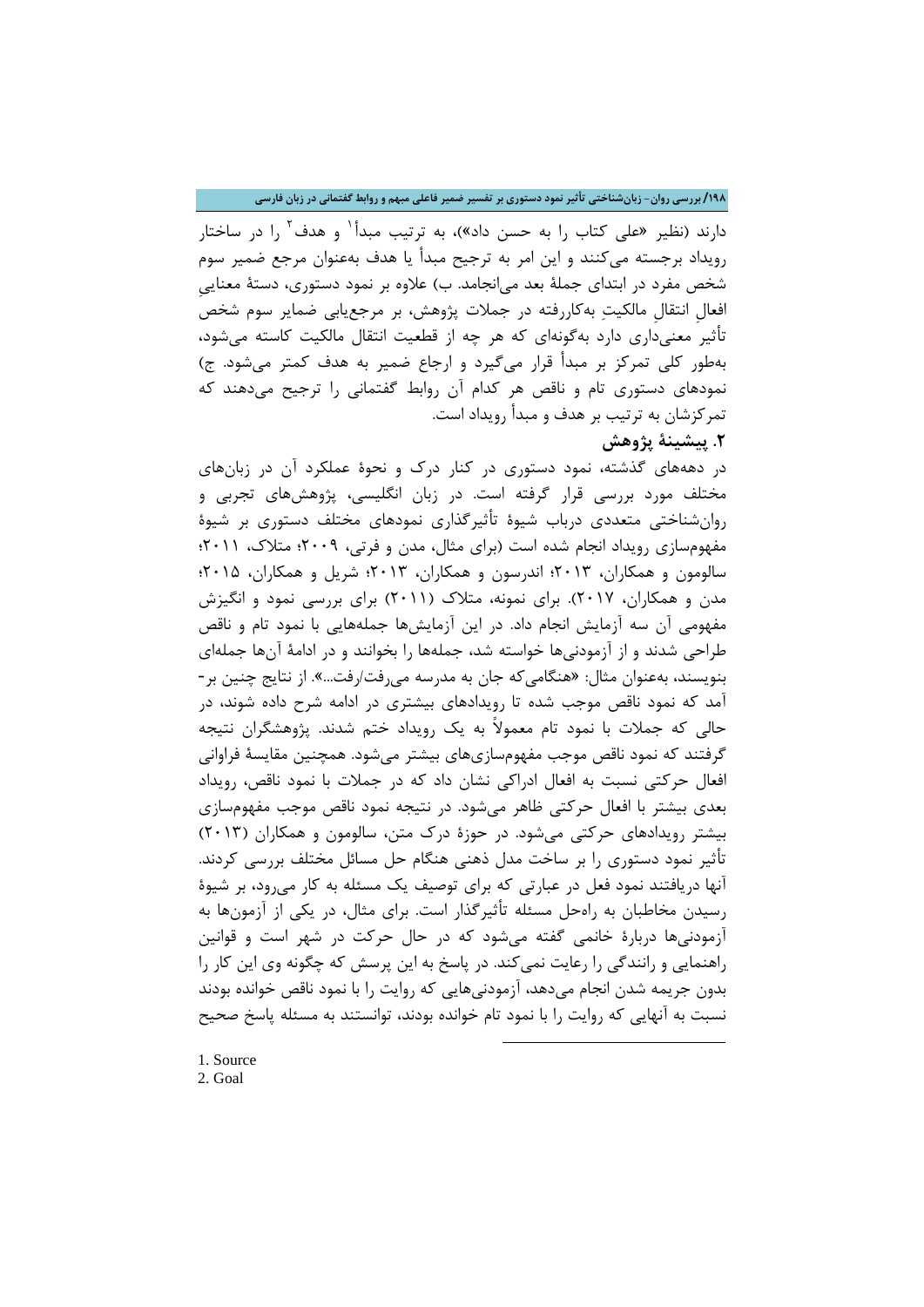**/198 بررسی روان- زبانشناختی تأثیر نمود دستوري بر تفسیر ضمیر فاعلی مبهم و روابط گفتمانی در زبان فارسی**

دارند (نظیر «علی کتاب را به حسن داد»)، به ترتیب مبدأ<sup>۱</sup> و هدف<sup>۲</sup> را در ساختار رویداد برجسته میکنند و این امر به ترجیح مبدأ یا هدف بهعنوان مرجع ضمیر سوم شخص مفرد در ابتداي جملۀ بعد میانجامد. ب) علاوه بر نمود دستوري، دستۀ معناییِ افعالِ انتقالِ مالکیت بهکاررفته در جملات پژوهش، بر مرجعیابی ضمایر سوم شخص تأثیر معنیداري دارد بهگونهاي که هر چه از قطعیت انتقال مالکیت کاسته میشود، بهطور کلی تمرکز بر مبدأ قرار میگیرد و ارجاع ضمیر به هدف کمتر میشود. ج) نمودهاي دستوري تام و ناقص هر کدام آن روابط گفتمانی را ترجیح میدهند که تمرکزشان به ترتیب بر هدف و مبدأ رویداد است.

## **.2 پیشینۀ پژوهش**

در دهههاي گذشت[ه،](#page-5-1) نمود دستوري در کنار درك و نحوة عملکرد آن در زبانهاي مختلف مورد بررسی قرار گرفته است. در زبان انگلیسی، پژوهشهاي تجربی و روانشناختی متعددي درباب شیوة تأثیرگذاري نمودهاي مختلف دستوري بر شیوة مفهومسازي رویداد انجام شده است (براي مثال، مدن و فرتی، 2009؛ متلاك، 2011؛ سالومون و همکاران، 2013؛ اندرسون و همکاران، 2013؛ شریل و همکاران، 2015؛ مدن و همکاران، 2017). براي نمونه، متلاك (2011) براي بررسی نمود و انگیزش مفهومی آن سه آزمایش انجام داد. در این آزمایشها جملههایی با نمود تام و ناقص طراحی شدند و از آزمودنیها خواسته شد، جملهها را بخوانند و در ادامۀ آنها جملهاي بنویسند، بهعنوان مثال: «هنگامیکه جان به مدرسه میرفت/رفت...». از نتایج چنین بر- آمد که نمود ناقص موجب شده تا رویدادهاي بیشتري در ادامه شرح داده شوند، در حالی که جملات با نمود تام معمولاً به یک رویداد ختم شدند. پژوهشگران نتیجه گرفتند که نمود ناقص موجب مفهومسازيهاي بیشتر میشود. همچنین مقایسۀ فراوانی افعال حرکتی نسبت به افعال ادراکی نشان داد که در جملات با نمود ناقص، رویداد بعدي بیشتر با افعال حرکتی ظاهر میشود. در نتیجه نمود ناقص موجب مفهومسازي بیشتر رویدادهاي حرکتی میشود. در حوزة درك متن، سالومون و همکاران (2013) تأثیر نمود دستوري را بر ساخت مدل ذهنی هنگام حل مسائل مختلف بررسی کردند. آنها دریافتند نمود فعل در عبارتی که براي توصیف یک مسئله به کار میرود، بر شیوة رسیدن مخاطبان به راهحل مسئله تأثیرگذار است. براي مثال، در یکی از آزمونها به آزمودنیها دربارة خانمی گفته میشود که در حال حرکت در شهر است و قوانین راهنمایی و رانندگی را رعایت نمیکند. در پاسخ به این پرسش که چگونه وي این کار را بدون جریمه شدن انجام میدهد، آزمودنیهایی که روایت را با نمود ناقص خوانده بودند نسبت به آنهایی که روایت را با نمود تام خوانده بودند، توانستند به مسئله پاسخ صحیح

**.** 

<span id="page-5-1"></span><span id="page-5-0"></span>1. Source 2. Goal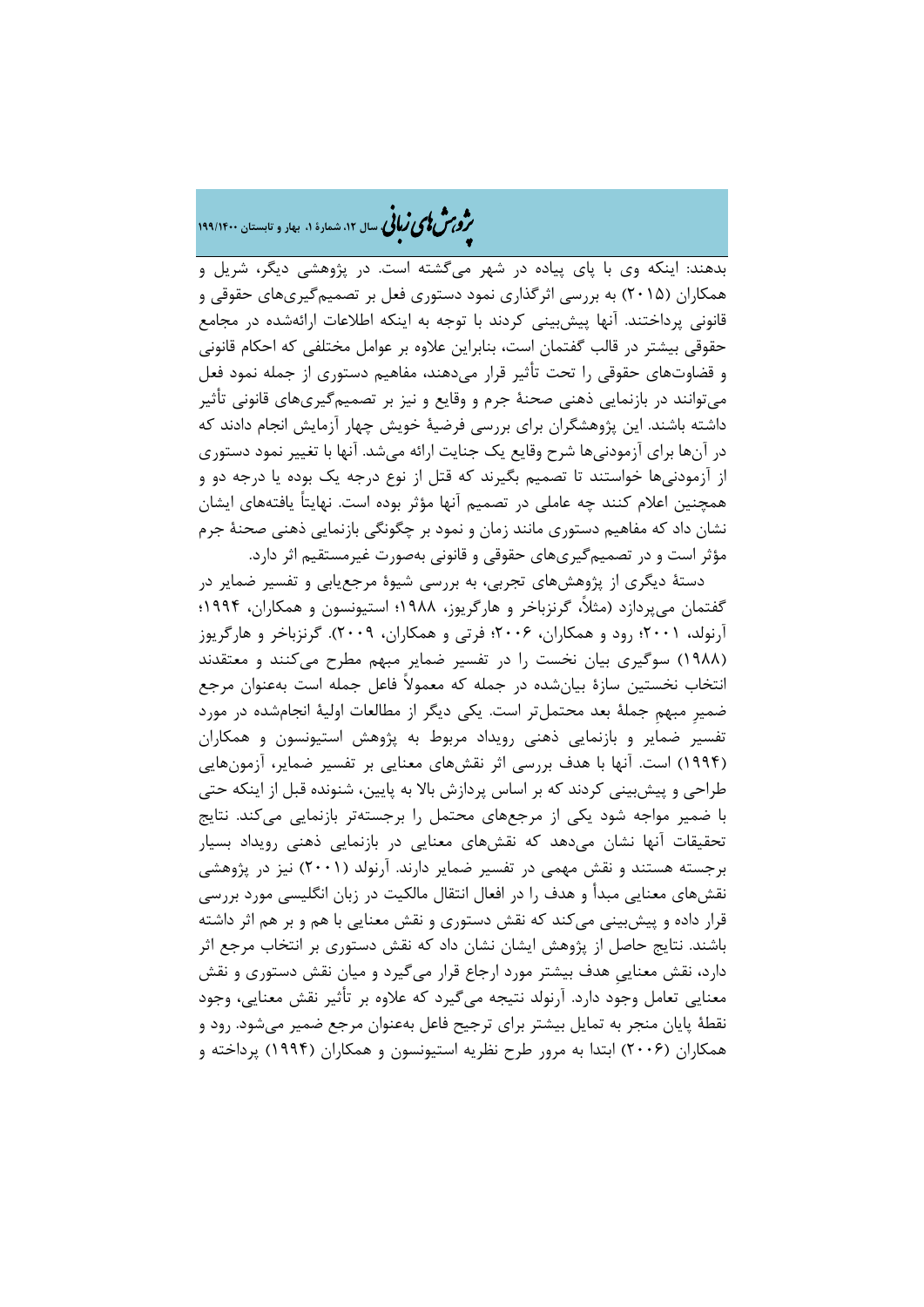# �ی زبا **، سال ،12 شمارة ،1 بهار و تابستان 199/1400** � �و ی �ش

بدهند: اینکه وي با پاي پیاده در شهر میگشته است. در پژوهشی دیگر، شریل و همکاران (2015) به بررسی اثرگذاري نمود دستوري فعل بر تصمیمگیريهاي حقوقی و قانونی پرداختند. آنها پیشبینی کردند با توجه به اینکه اطلاعات ارائهشده در مجامع حقوقی بیشتر در قالب گفتمان است، بنابراین علاوه بر عوامل مختلفی که احکام قانونی و قضاوتهاي حقوقی را تحت تأثیر قرار میدهند، مفاهیم دستوري از جمله نمود فعل میتوانند در بازنمایی ذهنی صحنۀ جرم و وقایع و نیز بر تصمیمگیريهاي قانونی تأثیر داشته باشند. این پژوهشگران براي بررسی فرضیۀ خویش چهار آزمایش انجام دادند که در آنها براي آزمودنیها شرح وقایع یک جنایت ارائه میشد. آنها با تغییر نمود دستوري از آزمودنیها خواستند تا تصمیم بگیرند که قتل از نوع درجه یک بوده یا درجه دو و همچنین اعلام کنند چه عاملی در تصمیم آنها مؤثر بوده است. نهایتاً یافتههاي ایشان نشان داد که مفاهیم دستوري مانند زمان و نمود بر چگونگی بازنمایی ذهنی صحنۀ جرم مؤثر است و در تصمیمگیريهاي حقوقی و قانونی بهصورت غیرمستقیم اثر دارد.

دستۀ دیگري از پژوهشهاي تجربی، به بررسی شیوة مرجعیابی و تفسیر ضمایر در گفتمان میپردازد (مثلا،ً گرنزباخر و هارگریوز، 1988؛ استیونسون و همکاران، 1994؛ آرنولد، 2001؛ رود و همکاران، 2006؛ فرتی و همکاران، 2009). گرنزباخر و هارگریوز (1988) سوگیري بیان نخست را در تفسیر ضمایر مبهم مطرح میکنند و معتقدند انتخاب نخستین سازة بیانشده در جمله که معمولاً فاعل جمله است بهعنوان مرجع ضمیرِ مبهمِ جملۀ بعد محتملتر است. یکی دیگر از مطالعات اولیۀ انجامشده در مورد تفسیر ضمایر و بازنمایی ذهنی رویداد مربوط به پژوهش استیونسون و همکاران (1994) است. آنها با هدف بررسی اثر نقشهاي معنایی بر تفسیر ضمایر، آزمونهایی طراحی و پیشبینی کردند که بر اساس پردازش بالا به پایین، شنونده قبل از اینکه حتی با ضمیر مواجه شود یکی از مرجعهاي محتمل را برجستهتر بازنمایی میکند. نتایج تحقیقات آنها نشان میدهد که نقشهاي معنایی در بازنمایی ذهنی رویداد بسیار برجسته هستند و نقش مهمی در تفسیر ضمایر دارند. آرنولد (2001) نیز در پژوهشی نقشهاي معنایی مبدأ و هدف را در افعال انتقال مالکیت در زبان انگلیسی مورد بررسی قرار داده و پیشبینی میکند که نقش دستوري و نقش معنایی با هم و بر هم اثر داشته باشند. نتایج حاصل از پژوهش ایشان نشان داد که نقش دستوري بر انتخاب مرجع اثر دارد، نقش معناییِ هدف بیشتر مورد ارجاع قرار میگیرد و میان نقش دستوري و نقش معنایی تعامل وجود دارد. آرنولد نتیجه میگیرد که علاوه بر تأثیر نقش معنایی، وجود نقطۀ پایان منجر به تمایل بیشتر براي ترجیح فاعل بهعنوان مرجع ضمیر میشود. رود و همکاران (2006) ابتدا به مرور طرح نظریه استیونسون و همکاران (1994) پرداخته و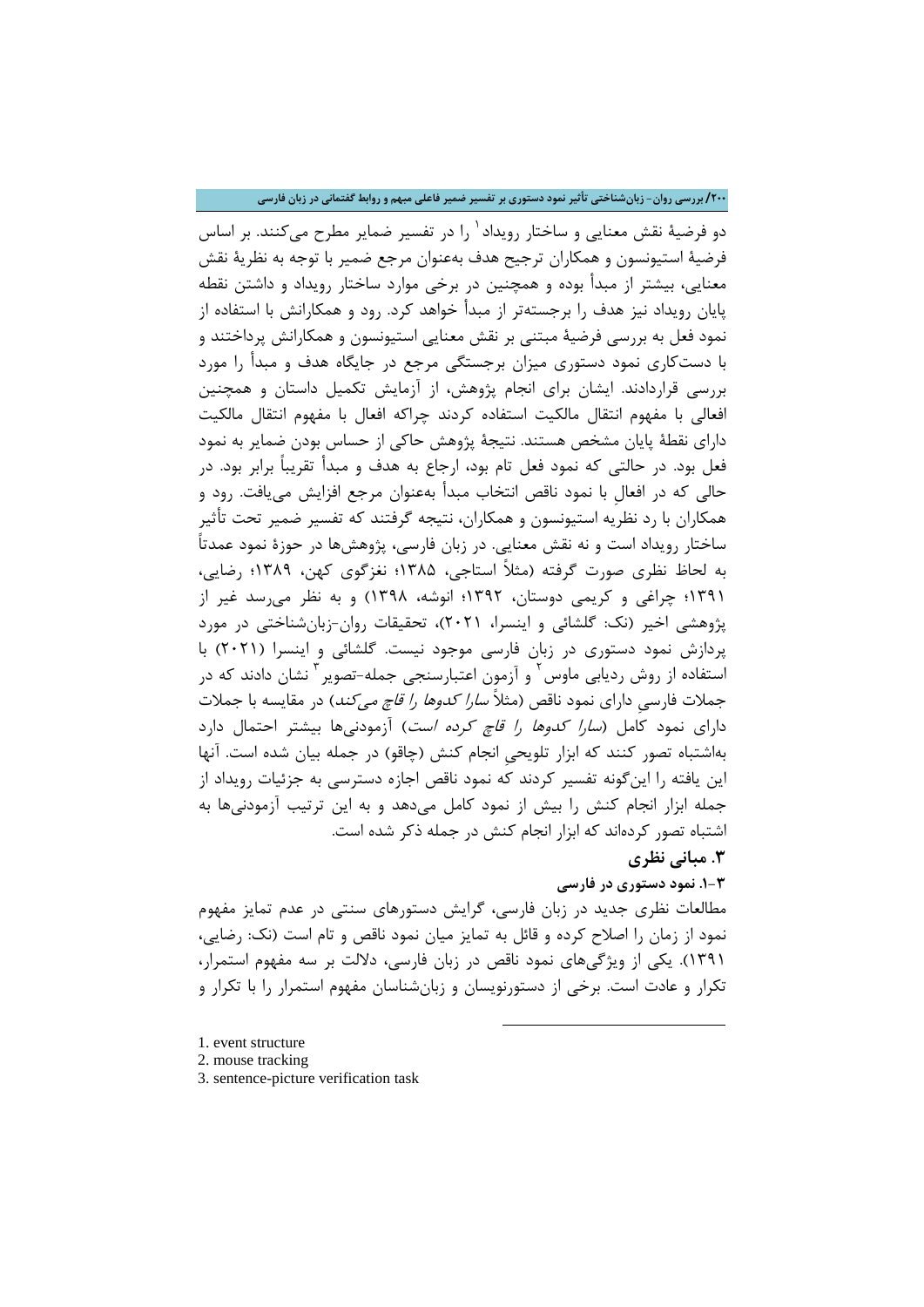### **/200 بررسی روان- زبانشناختی تأثیر نمود دستوري بر تفسیر ضمیر فاعلی مبهم و روابط گفتمانی در زبان فارسی**

دو فرضیۀ نقش معنایی و ساختار رویداد <sup>۱</sup> را در تفسیر ضمایر مطرح میکنند. بر اساس فرضیۀ استیونسون و همکاران ترجیح هدف بهعنوان مرجع ضمیر با توجه به نظریۀ نقش معنایی، بیشتر از مبدأ بوده و همچنین در برخی موارد ساختار رویداد و داشتن نقطه پایان رویداد نیز هدف را برجستهتر از مبدأ خواهد کرد. رود و همکارانش با استفاده از نمود فعل به بررسی فرضیۀ مبتنی بر نقش معنایی استیونسون و همکارانش پرداختند و با دستکاري نمود دستوري میزان برجستگی مرجع در جایگاه هدف و مبدأ را مورد بررسی قراردادند. ایشان براي انجام پژوهش، از آزمایش تکمیل داستان و همچنین افعالی با مفهوم انتقال مالکیت استفاده کردند چراکه افعال با مفهوم انتقال مالکیت داراي نقطۀ پایان مشخص هستند. نتیجۀ پژوهش حاکی از حساس بودن ضمایر به نمود فعل بود. در حالتی که نمود فعل تام بود، ارجاع به هدف و مبدأ تقریباً برابر بود. در حالی که در افعالِ با نمود ناقص انتخاب مبدأ بهعنوان مرجع افزایش مییافت. رود و همکاران با رد نظریه استیونسون و همکاران، نتیجه گرفتند که تفسیر ضمیر تحت تأثیر ساختار رویداد است و نه نقش معنایی. در زبان فارسی، پژوهشها در حوزة نمود عمدتاً به لحاظ نظري صورت گرفته (مثلاً استاجی، 1385؛ نغزگوي کهن، 1389؛ رضایی، 1391؛ چراغی و کریمی دوستان، 1392؛ انوشه، 1398) و به نظر میرسد غیر از پژوهشی اخیر (نک: گلشائی و اینسرا، 2021)، تحقیقات روان-زبانشناختی در مورد پردازش نمود دستوري در زبان فارسی موجود نیست. گلشائی و اینسرا (2021) با 'ستفاده از روش ردیابی ماوس<sup>۲</sup> و آزمون اعتبارسنجی جمله-تصویر<sup>۳</sup> نشان دادند که در جملات فارسیِ داراي نمود ناقص (مثلاً سارا کدوها را قاچ میکند) در مقایسه با جملات داراي نمود کامل (سارا کدوها را قاچ کرده است) آزمودنیها بیشتر احتمال دارد بهاشتباه تصور کنند که ابزار تلویحیِ انجام کنش (چاقو) در جمله بیان شده است. آنها این یافته را اینگونه تفسیر کردند که نمود ناقص اجازه دسترسی به جزئیات رویداد از جمله ابزار انجام کنش را بیش از نمود کامل میدهد و به این ترتیب آزمودنیها به اشتباه تصور کردهاند که ابزار انجام کنش در جمله ذکر شده است.

## **.3 مبانی نظري**

## **.1-3 نمود دستوري در فارسی**

مطالعات نظري جدید در زبان فارسی، گرایش دستورهاي سنتی در عدم تمایز مفهوم نمود از زمان را اصلاح کرده و قائل به تمایز میان نمود ناقص و تام است (نک: رضایی، 1391). یکی از ویژگیهاي نمود ناقص در زبان فارسی، دلالت بر سه مفهوم استمرار، تکرار و عادت است. برخی از دستورنویسان و زبانشناسان مفهوم استمرار را با تکرار و

**.** 

- <span id="page-7-0"></span>1. event structure
- <span id="page-7-1"></span>2. mouse tracking
- <span id="page-7-2"></span>3. sentence-picture verification task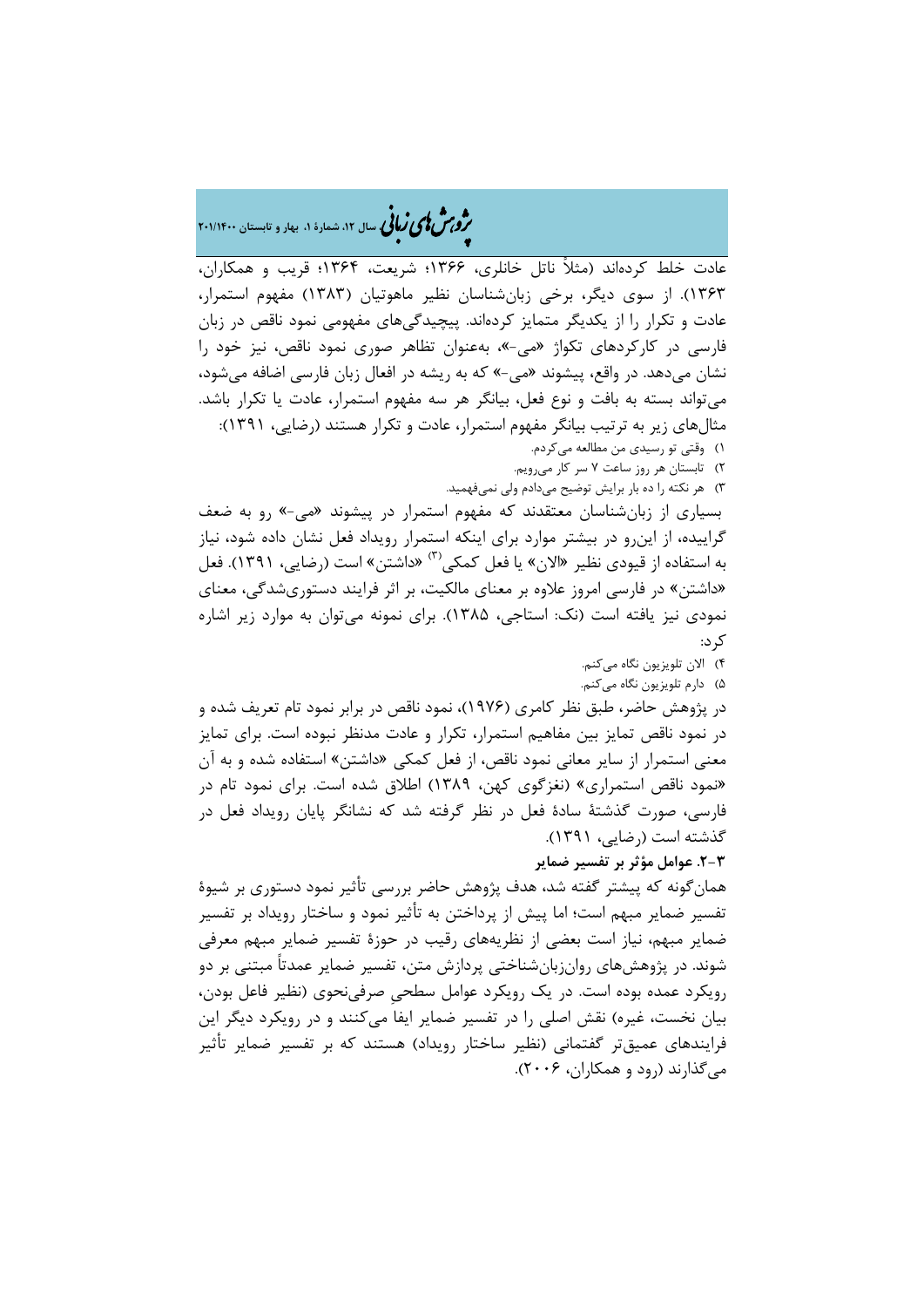## �ی زبا **، سال ،12 شمارة ،1 بهار و تابستان 201/1400** � �و ی �ش

عادت خلط کردهاند (مثلاً ناتل خانلري، 1366؛ شریعت، 1364؛ قریب و همکاران، 1363). از سوي دیگر، برخی زبانشناسان نظیر ماهوتیان (1383) مفهوم استمرار، عادت و تکرار را از یکدیگر متمایز کردهاند. پیچیدگیهاي مفهومی نمود ناقص در زبان فارسی در کارکردهاي تکواژ «می-»، بهعنوان تظاهر صوري نمود ناقص، نیز خود را نشان میدهد. در واقع، پیشوند «می-» که به ریشه در افعال زبان فارسی اضافه میشود، میتواند بسته به بافت و نوع فعل، بیانگر هر سه مفهوم استمرار، عادت یا تکرار باشد. مثالهاي زیر به ترتیب بیانگر مفهوم استمرار، عادت و تکرار هستند (رضایی، 1391): 1) وقتی تو رسیدي من مطالعه میکردم.

> 2) تابستان هر روز ساعت 7 سر کار میرویم. 3) هر نکته را ده بار برایش توضیح میدادم ولی نمیفهمید.

بسیاري از زبانشناسان معتقدند که مفهوم استمرار در پیشوند «می-» رو به ضعف گراییده، از اینرو در بیشتر موارد براي اینکه استمرار رویداد فعل نشان داده شود، نیاز به استفاده از قیودی نظیر «الان» یا فعل کمکی<sup>۳)</sup> «داشتن» است (رضایی، ۱۳۹۱). فعل «داشتن» در فارسی امروز علاوه بر معناي مالکیت، بر اثر فرایند دستوريشدگی، معناي نمودي نیز یافته است (نک: استاجی، 1385). براي نمونه میتوان به موارد زیر اشاره کرد:

4) الان تلویزیون نگاه میکنم.

5) دارم تلویزیون نگاه میکنم. در پژوهش حاضر، طبق نظر کامري (1976)، نمود ناقص در برابر نمود تام تعریف شده و در نمود ناقص تمایز بین مفاهیم استمرار، تکرار و عادت مدنظر نبوده است. براي تمایز معنی استمرار از سایر معانی نمود ناقص، از فعل کمکی «داشتن» استفاده شده و به آن

«نمود ناقص استمراري» (نغزگوي کهن، 1389) اطلاق شده است. براي نمود تام در فارسی، صورت گذشتۀ سادة فعل در نظر گرفته شد که نشانگر پایان رویداد فعل در گذشته است (رضایی، 1391).

**.2-3 عوامل مؤثر بر تفسیر ضمایر**

همانگونه که پیشتر گفته شد، هدف پژوهش حاضر بررسی تأثیر نمود دستوري بر شیوة تفسیر ضمایر مبهم است؛ اما پیش از پرداختن به تأثیر نمود و ساختار رویداد بر تفسیر ضمایر مبهم، نیاز است بعضی از نظریههاي رقیب در حوزة تفسیر ضمایر مبهم معرفی شوند. در پژوهشهاي روانزبانشناختی پردازش متن، تفسیر ضمایر عمدتاً مبتنی بر دو رویکرد عمده بوده است. در یک رویکرد عوامل سطحیِ صرفینحوي (نظیر فاعل بودن، بیان نخست، غیره) نقش اصلی را در تفسیر ضمایر ایفا میکنند و در رویکرد دیگر این فرایندهاي عمیقتر گفتمانی (نظیر ساختار رویداد) هستند که بر تفسیر ضمایر تأثیر میگذارند (رود و همکاران، 2006).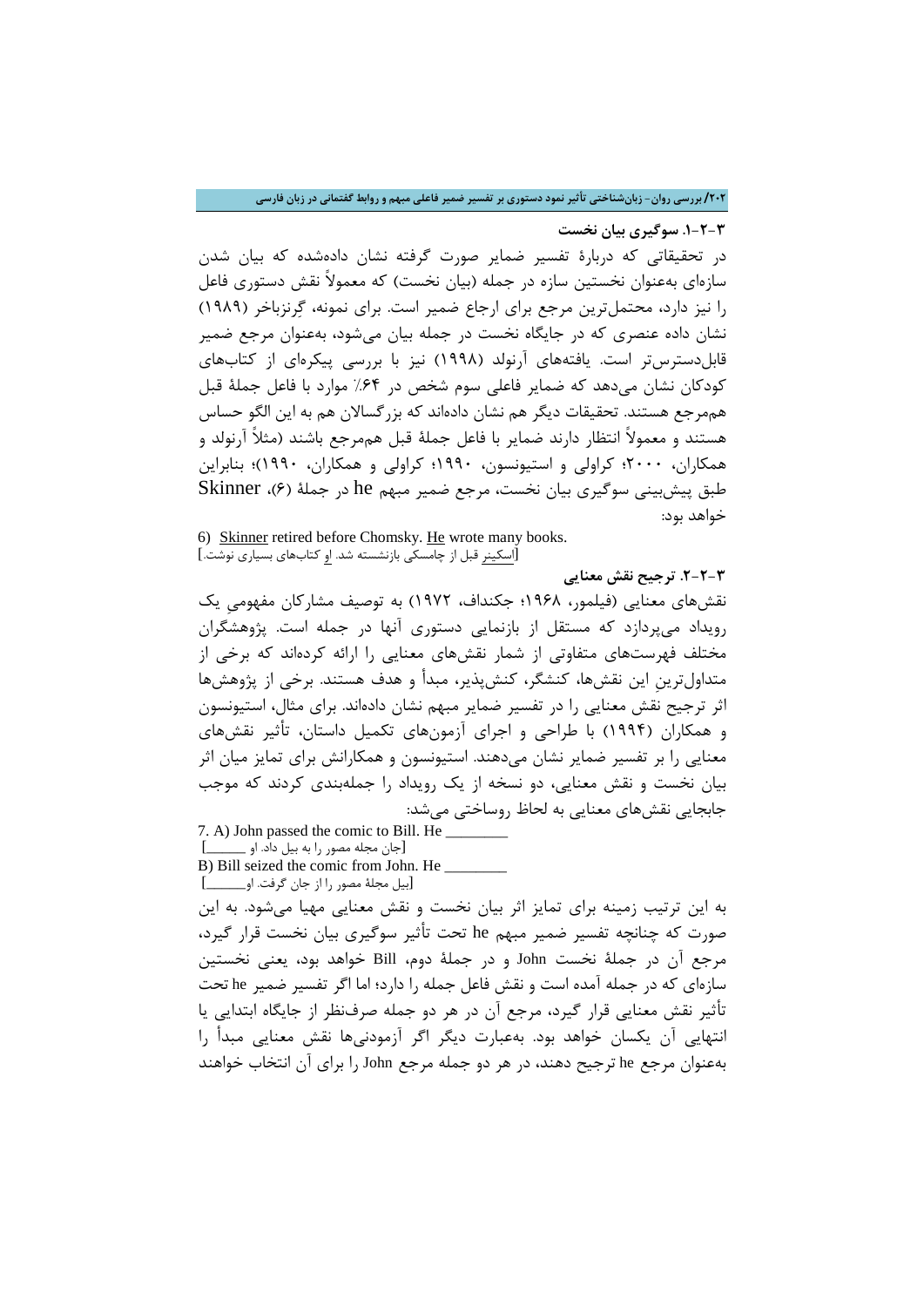**/202 بررسی روان- زبانشناختی تأثیر نمود دستوري بر تفسیر ضمیر فاعلی مبهم و روابط گفتمانی در زبان فارسی**

**.1-2-3 سوگیري بیان نخست** در تحقیقاتی که دربارة تفسیر ضمایر صورت گرفته نشان دادهشده که بیان شدن سازهاي بهعنوان نخستین سازه در جمله (بیان نخست) که معمولاً نقش دستوري فاعل را نیز دارد، محتملترین مرجع براي ارجاع ضمیر است. براي نمونه، گرنزباخر (1989) نشان داده عنصري که در جایگاه نخست در جمله بیان میشود، بهعنوان مرجع ضمیر قابلدسترستر است. یافتههاي آرنولد (1998) نیز با بررسی پیکرهاي از کتابهاي کودکان نشان میدهد که ضمایر فاعلی سوم شخص در %64 موارد با فاعل جملۀ قبل هممرجع هستند. تحقیقات دیگر هم نشان دادهاند که بزرگسالان هم به این الگو حساس هستند و معمولاً انتظار دارند ضمایر با فاعل جملۀ قبل هممرجع باشند (مثلاً آرنولد و همکاران، 2000؛ کراولی و استیونسون، 1990؛ کراولی و همکاران، 1990)؛ بنابراین طبق پیشبینی سوگیري بیان نخست، مرجع ضمیر مبهم he در جملۀ (6)، Skinner خواهد بود:

6) Skinner retired before Chomsky. He wrote many books. [اسکینر قبل از چامسکی بازنشسته شد. او کتابهاي بسیاري نوشت.]

**.2-2-3 ترجیح نقش معنایی**

نقشهاي معنایی (فیلمور، 1968؛ جکنداف، 1972) به توصیف مشارکان مفهومیِ یک رویداد میپردازد که مستقل از بازنمایی دستوري آنها در جمله است. پژوهشگران مختلف فهرستهاي متفاوتی از شمار نقشهاي معنایی را ارائه کردهاند که برخی از متداولترینِ این نقشها، کنشگر، کنشپذیر، مبدأ و هدف هستند. برخی از پژوهشها اثر ترجیح نقش معنایی را در تفسیر ضمایر مبهم نشان دادهاند. براي مثال، استیونسون و همکاران (1994) با طراحی و اجراي آزمونهاي تکمیل داستان، تأثیر نقشهاي معنایی را بر تفسیر ضمایر نشان میدهند. استیونسون و همکارانش براي تمایز میان اثر بیان نخست و نقش معنایی، دو نسخه از یک رویداد را جملهبندي کردند که موجب جابجایی نقشهاي معنایی به لحاظ روساختی میشد:

7. A) John passed the comic to Bill. He [جان مجله مصور را به بیل داد. او \_\_\_\_\_]

B) Bill seized the comic from John. He [بیل مجلۀ مصور را از جان گرفت. او\_\_\_\_\_]

به این ترتیب زمینه براي تمایز اثر بیان نخست و نقش معنایی مهیا میشود. به این صورت که چنانچه تفسیر ضمیر مبهم he تحت تأثیر سوگیري بیان نخست قرار گیرد، مرجع آن در جملۀ نخست John و در جملۀ دوم، Bill خواهد بود، یعنی نخستین سازهاي که در جمله آمده است و نقش فاعل جمله را دارد؛ اما اگر تفسیر ضمیر he تحت تأثیر نقش معنایی قرار گیرد، مرجع آن در هر دو جمله صرفنظر از جایگاه ابتدایی یا انتهایی آن یکسان خواهد بود. بهعبارت دیگر اگر آزمودنیها نقش معنایی مبدأ را بهعنوان مرجع he ترجیح دهند، در هر دو جمله مرجع John را براي آن انتخاب خواهند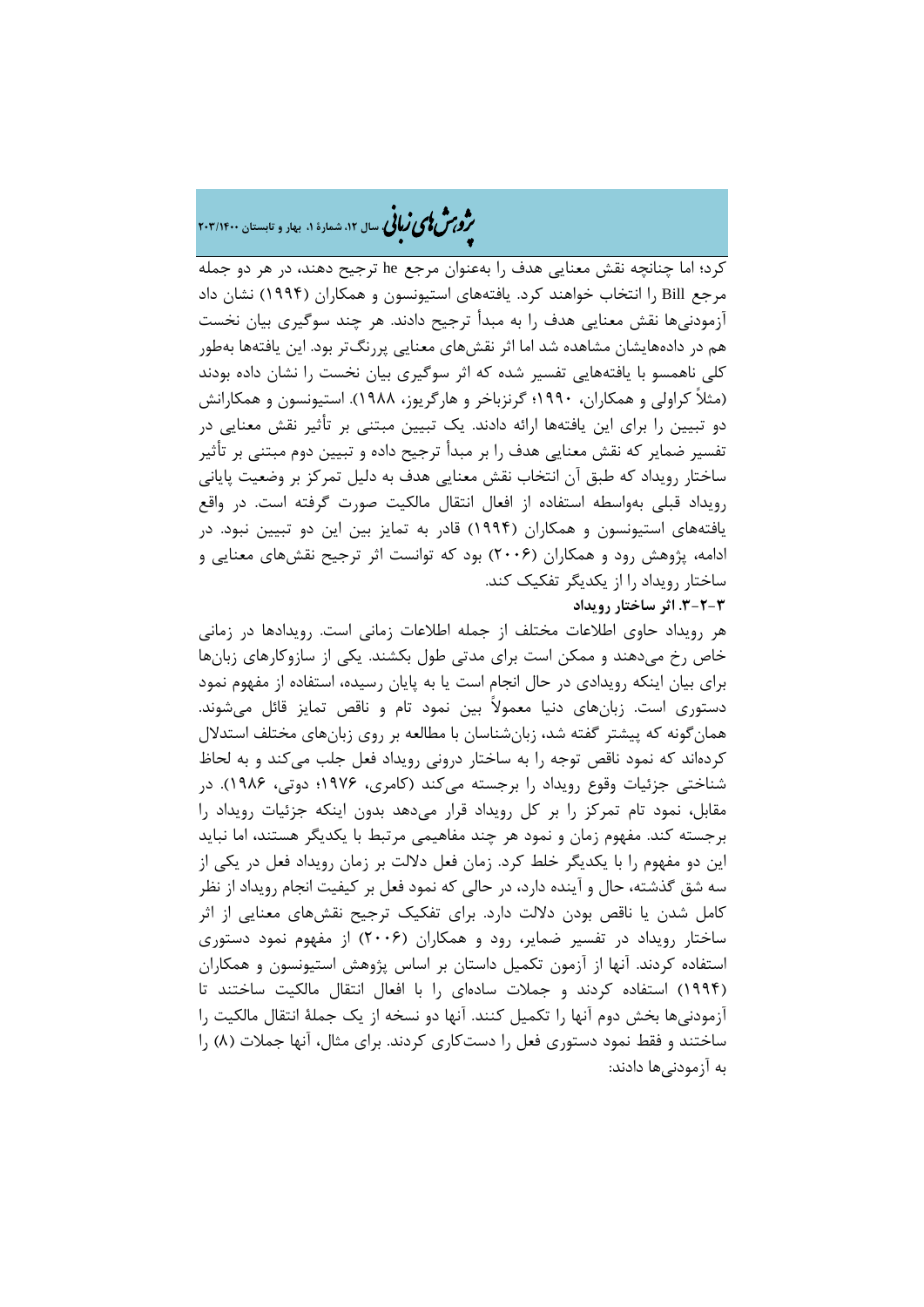## �ی زبا **، سال ،12 شمارة ،1 بهار و تابستان 203/1400** � �و ی �ش

کرد؛ اما چنانچه نقش معنایی هدف را بهعنوان مرجع he ترجیح دهند، در هر دو جمله مرجع Bill را انتخاب خواهند کرد. یافتههاي استیونسون و همکاران (1994) نشان داد آزمودنیها نقش معنایی هدف را به مبدأ ترجیح دادند. هر چند سوگیري بیان نخست هم در دادههایشان مشاهده شد اما اثر نقشهاي معنایی پررنگتر بود. این یافتهها بهطور کلی ناهمسو با یافتههایی تفسیر شده که اثر سوگیري بیان نخست را نشان داده بودند (مثلاً کراولی و همکاران، 1990؛ گرنزباخر و هارگریوز، 1988). استیونسون و همکارانش دو تبیین را براي این یافتهها ارائه دادند. یک تبیین مبتنی بر تأثیر نقش معنایی در تفسیر ضمایر که نقش معنایی هدف را بر مبدأ ترجیح داده و تبیین دوم مبتنی بر تأثیر ساختار رویداد که طبق آن انتخاب نقش معنایی هدف به دلیل تمرکز بر وضعیت پایانی رویداد قبلی بهواسطه استفاده از افعال انتقال مالکیت صورت گرفته است. در واقع یافتههاي استیونسون و همکاران (1994) قادر به تمایز بین این دو تبیین نبود. در ادامه، پژوهش رود و همکاران (2006) بود که توانست اثر ترجیح نقشهاي معنایی و ساختار رویداد را از یکدیگر تفکیک کند.

**.3-2-3 اثر ساختار رویداد**

هر رویداد حاوي اطلاعات مختلف از جمله اطلاعات زمانی است. رویدادها در زمانی خاص رخ میدهند و ممکن است براي مدتی طول بکشند. یکی از سازوکارهاي زبانها براي بیان اینکه رویدادي در حال انجام است یا به پایان رسیده، استفاده از مفهوم نمود دستوري است. زبانهاي دنیا معمولاً بین نمود تام و ناقص تمایز قائل میشوند. همانگونه که پیشتر گفته شد، زبانشناسان با مطالعه بر روي زبانهاي مختلف استدلال کردهاند که نمود ناقص توجه را به ساختار درونی رویداد فعل جلب میکند و به لحاظ شناختی جزئیات وقوع رویداد را برجسته میکند (کامري، 1976؛ دوتی، 1986). در مقابل، نمود تام تمرکز را بر کل رویداد قرار میدهد بدون اینکه جزئیات رویداد را برجسته کند. مفهوم زمان و نمود هر چند مفاهیمی مرتبط با یکدیگر هستند، اما نباید این دو مفهوم را با یکدیگر خلط کرد. زمان فعل دلالت بر زمان رویداد فعل در یکی از سه شق گذشته، حال و آینده دارد، در حالی که نمود فعل بر کیفیت انجام رویداد از نظر کامل شدن یا ناقص بودن دلالت دارد. براي تفکیک ترجیح نقشهاي معنایی از اثر ساختار رویداد در تفسیر ضمایر، رود و همکاران (2006) از مفهوم نمود دستوري استفاده کردند. آنها از آزمون تکمیل داستان بر اساس پژوهش استیونسون و همکاران (1994) استفاده کردند و جملات سادهاي را با افعال انتقال مالکیت ساختند تا آزمودنیها بخش دوم آنها را تکمیل کنند. آنها دو نسخه از یک جملۀ انتقال مالکیت را ساختند و فقط نمود دستوري فعل را دستکاري کردند. براي مثال، آنها جملات (8) را به آزمودنیها دادند: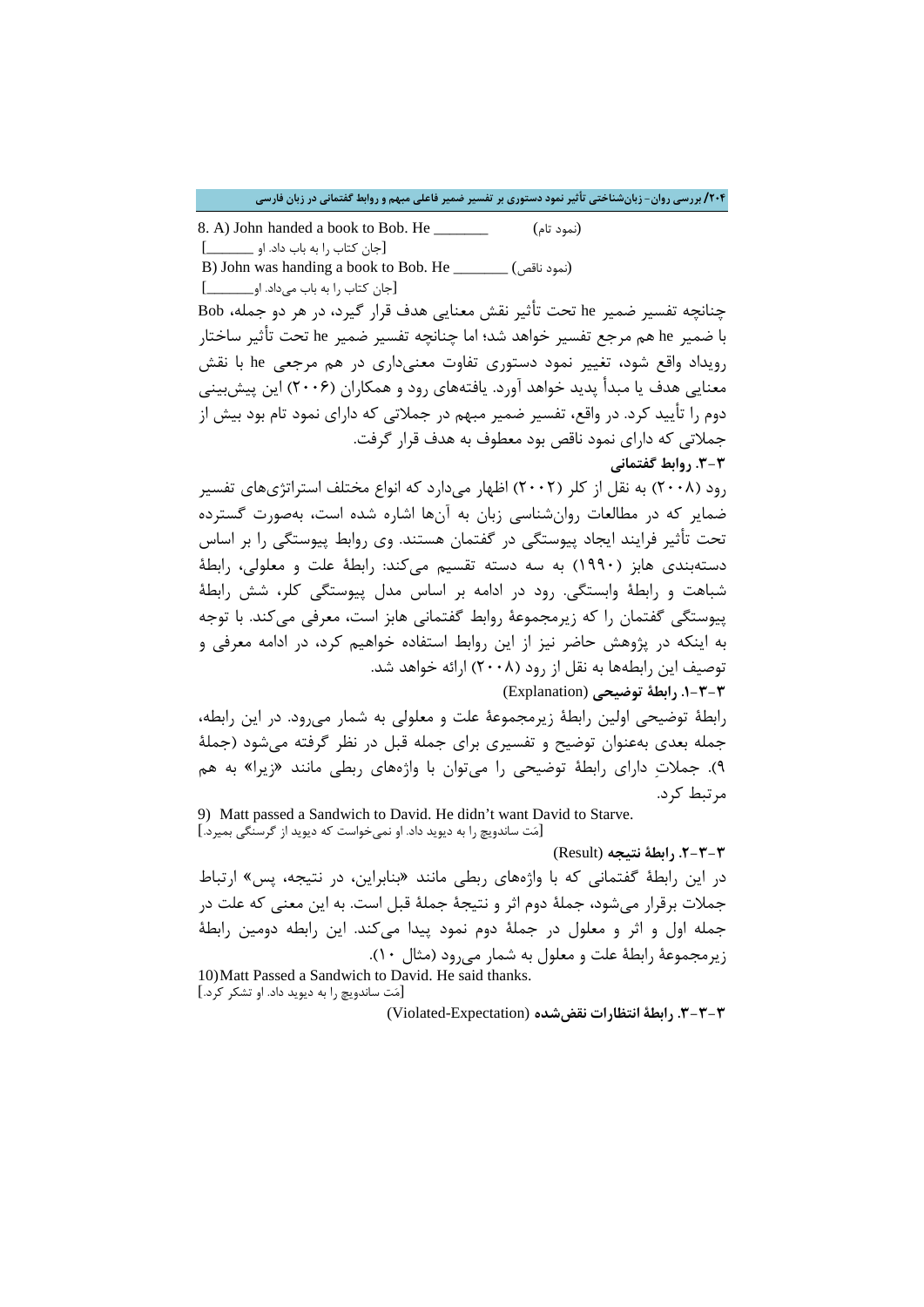8. A) John handed a book to Bob. He \_\_\_\_\_\_\_ (تام نمود( [جان کتاب را به باب داد. او \_\_\_\_\_\_] B) John was handing a book to Bob. He  $\qquad \qquad$ (نمود ناقص) [جان کتاب را به باب میداد. او\_\_\_\_\_\_]

چنانچه تفسیر ضمیر he تحت تأثیر نقش معنایی هدف قرار گیرد، در هر دو جمله، Bob با ضمیر he هم مرجع تفسیر خواهد شد؛ اما چنانچه تفسیر ضمیر he تحت تأثیر ساختار رویداد واقع شود، تغییر نمود دستوري تفاوت معنیداري در هم مرجعی he با نقش معنایی هدف یا مبدأ پدید خواهد آورد. یافتههاي رود و همکاران (2006) این پیشبینی دوم را تأیید کرد. در واقع، تفسیر ضمیر مبهم در جملاتی که داراي نمود تام بود بیش از جملاتی که داراي نمود ناقص بود معطوف به هدف قرار گرفت. **.3-3 روابط گفتمانی**

رود (2008) به نقل از کلر (2002) اظهار میدارد که انواع مختلف استراتژيهاي تفسیر ضمایر که در مطالعات روانشناسی زبان به آنها اشاره شده است، بهصورت گسترده تحت تأثیر فرایند ایجاد پیوستگی در گفتمان هستند. وي روابط پیوستگی را بر اساس دستهبندي هابز (1990) به سه دسته تقسیم میکند: رابطۀ علت و معلولی، رابطۀ شباهت و رابطۀ وابستگی. رود در ادامه بر اساس مدل پیوستگی کلر، شش رابطۀ پیوستگی گفتمان را که زیرمجموعۀ روابط گفتمانی هابز است، معرفی میکند. با توجه به اینکه در پژوهش حاضر نیز از این روابط استفاده خواهیم کرد، در ادامه معرفی و توصیف این رابطهها به نقل از رود (2008) ارائه خواهد شد.

**.1-3-3 رابطۀ توضیحی** (Explanation(

رابطۀ توضیحی اولین رابطۀ زیرمجموعۀ علت و معلولی به شمار میرود. در این رابطه، جمله بعدي بهعنوان توضیح و تفسیري براي جمله قبل در نظر گرفته میشود (جملۀ 9). جملات داراي رابطۀ توضیحی را میتوان با واژههاي ربطی مانند «زیرا» به هم مرتبط کرد.

9) Matt passed a Sandwich to David. He didn't want David to Starve. [مت ساندویچ را به دیوید داد. او نمیخواست که دیوید از گرسنگی بمیرد.]

**.2-3-3 رابطۀ نتیجه** (Result( در این رابطۀ گفتمانی که با واژههاي ربطی مانند «بنابراین، در نتیجه، پس» ارتباط جملات برقرار میشود، جملۀ دوم اثر و نتیجۀ جملۀ قبل است. به این معنی که علت در جمله اول و اثر و معلول در جملۀ دوم نمود پیدا میکند. این رابطه دومین رابطۀ زیرمجموعۀ رابطۀ علت و معلول به شمار میرود (مثال 10).

10)Matt Passed a Sandwich to David. He said thanks. [مت ساندویچ را به دیوید داد. او تشکر کرد.]

**.3-3-3 رابطۀ انتظارات نقضشده** (Expectation-Violated(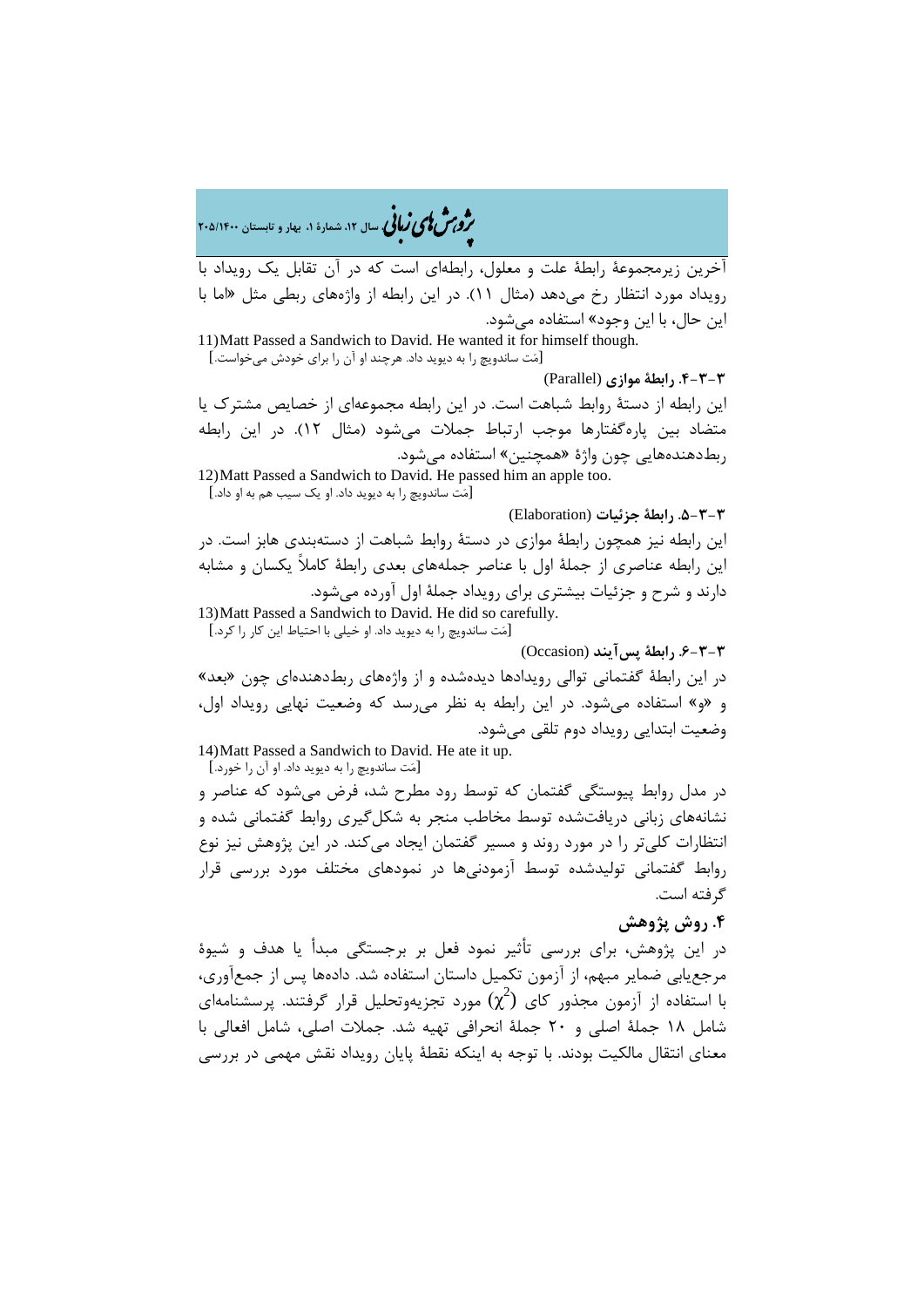�ی زبا **، سال ،12 شمارة ،1 بهار و تابستان 205/1400** � �و ی �ش

آخرین زیرمجموعۀ رابطۀ علت و معلول، رابطهاي است که در آن تقابل یک رویداد با رویداد مورد انتظار رخ میدهد (مثال 11). در این رابطه از واژههاي ربطی مثل «اما با این حال، با این وجود» استفاده میشود. 11)Matt Passed a Sandwich to David. He wanted it for himself though. [مت ساندویچ را به دیوید داد. هرچند او آن را براي خودش میخواست.] **.4-3-3 رابطۀ موازي** (Parallel( این رابطه از دستۀ روابط شباهت است. در این رابطه مجموعهاي از خصایص مشترك یا متضاد بین پارهگفتارها موجب ارتباط جملات میشود (مثال 12). در این رابطه ربطدهندههایی چون واژة «همچنین» استفاده میشود. 12)Matt Passed a Sandwich to David. He passed him an apple too. [مت ساندویچ را به دیوید داد. او یک سیب هم به او داد.] **.5-3-3 رابطۀ جزئیات** (Elaboration( این رابطه نیز همچون رابطۀ موازي در دستۀ روابط شباهت از دستهبندي هابز است. در این رابطه عناصري از جملۀ اول با عناصر جملههاي بعدي رابطۀ کاملاً یکسان و مشابه دارند و شرح و جزئیات بیشتري براي رویداد جملۀ اول آورده میشود. 13)Matt Passed a Sandwich to David. He did so carefully. [مت ساندویچ را به دیوید داد. او خیلی با احتیاط این کار را کرد.] **.6-3-3 رابطۀ پسآیند** (Occasion( در این رابطۀ گفتمانی توالی رویدادها دیدهشده و از واژههاي ربطدهندهاي چون «بعد» و «و» استفاده میشود. در این رابطه به نظر میرسد که وضعیت نهایی رویداد اول، وضعیت ابتدایی رویداد دوم تلقی میشود. 14)Matt Passed a Sandwich to David. He ate it up.

[مت ساندویچ را به دیوید داد. او آن را خورد.]

در مدل روابط پیوستگی گفتمان که توسط رود مطرح شد، فرض میشود که عناصر و نشانههاي زبانی دریافتشده توسط مخاطب منجر به شکلگیري روابط گفتمانی شده و انتظارات کلیتر را در مورد روند و مسیر گفتمان ایجاد میکند. در این پژوهش نیز نوع روابط گفتمانی تولیدشده توسط آزمودنیها در نمودهاي مختلف مورد بررسی قرار گرفته است.

### **.4 روش پژوهش**

در این پژوهش، براي بررسی تأثیر نمود فعل بر برجستگی مبدأ یا هدف و شیوة مرجعیابی ضمایر مبهم، از آزمون تکمیل داستان استفاده شد. دادهها پس از جمعآوري، با استفاده از آزمون مجذور کای  $(\chi^2)$  مورد تجزیهوتحلیل قرار گرفتند. پرسشنامهای شامل 18 جملۀ اصلی و 20 جملۀ انحرافی تهیه شد. جملات اصلی، شامل افعالی با معناي انتقال مالکیت بودند. با توجه به اینکه نقطۀ پایان رویداد نقش مهمی در بررسی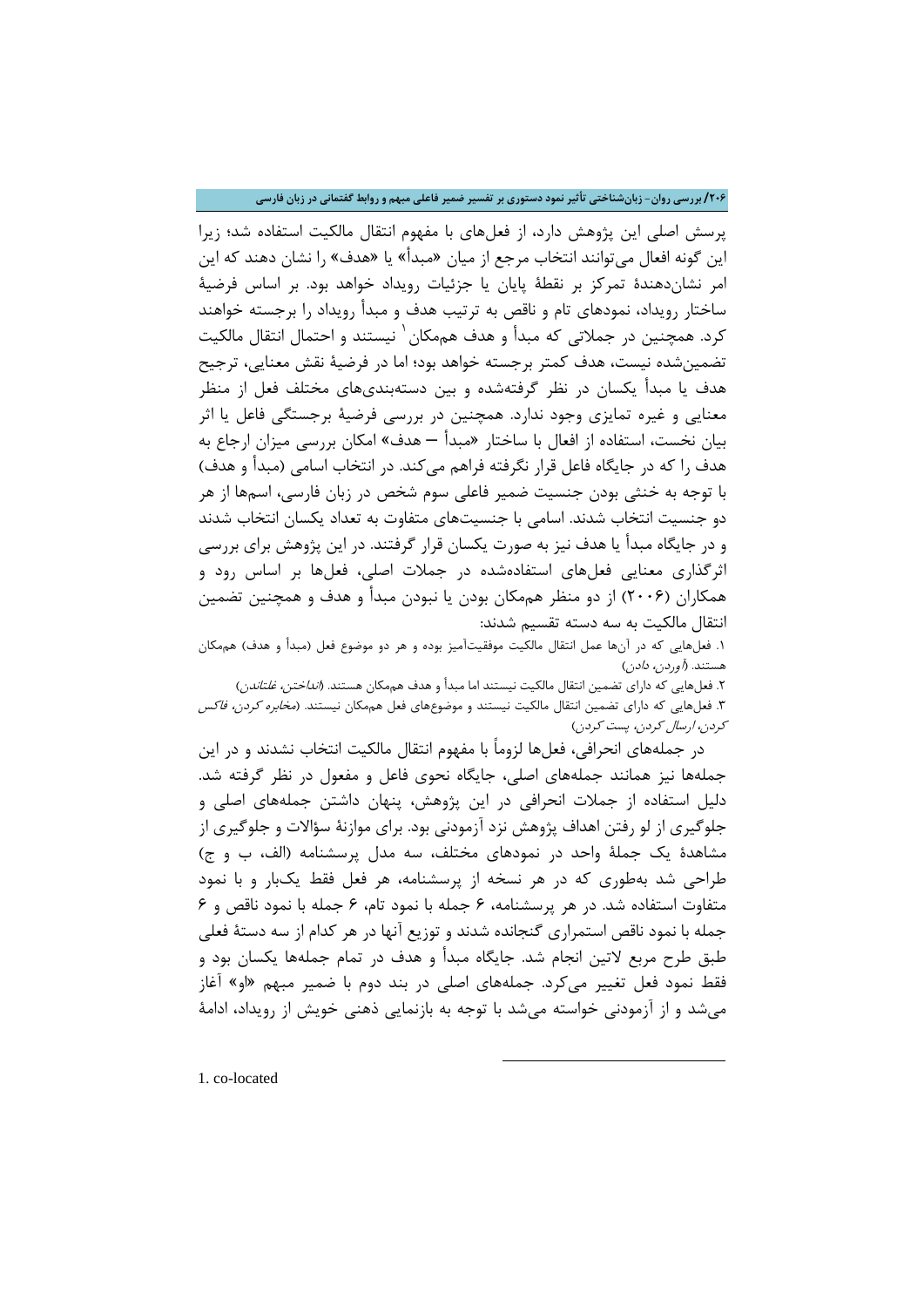**/206 بررسی روان- زبانشناختی تأثیر نمود دستوري بر تفسیر ضمیر فاعلی مبهم و روابط گفتمانی در زبان فارسی**

پرسش اصلی این پژوهش دارد، از فعلهاي با مفهوم انتقال مالکیت استفاده شد؛ زیرا این گونه افعال میتوانند انتخاب مرجع از میان «مبدأ» یا «هدف» را نشان دهند که این امر نشاندهندة تمرکز بر نقطۀ پایان یا جزئیات رویداد خواهد بود. بر اساس فرضیۀ ساختار رویداد، نمودهاي تام و ناقص به ترتیب هدف و مبدأ رویداد را برجسته خواهند کرد. همچنین در جملاتی که مبدأ و هدف هممکان ٰ نیستند و احتمال انتقال مالکیت تضمینشده نیست، هدف کمتر برجسته خواهد بود؛ اما در فرضیۀ نقش معنایی، ترجیح هدف یا مبدأ یکسان در نظر گرفتهشده و بین دستهبنديهاي مختلف فعل از منظر معنایی و غیره تمایزي وجود ندارد. همچنین در بررسی فرضیۀ برجستگی فاعل یا اثر بیان نخست، استفاده از افعال با ساختار «مبدأ – هدف» امکان بررسی میزان ارجاع به هدف را که در جایگاه فاعل قرار نگرفته فراهم میکند. در انتخاب اسامی (مبدأ و هدف) با توجه به خنثی بودن جنسیت ضمیر فاعلی سوم شخص در زبان فارسی، اسمها از هر دو جنسیت انتخاب شدند. اسامی با جنسیتهاي متفاوت به تعداد یکسان انتخاب شدند و در جایگاه مبدأ یا هدف نیز به صورت یکسان قرار گرفتند. در این پژوهش براي بررسی اثرگذاري معنایی فعلهاي استفادهشده در جملات اصلی، فعلها بر اساس رود و همکاران (2006) از دو منظر هممکان بودن یا نبودن مبدأ و هدف و همچنین تضمین انتقال مالکیت به سه دسته تقسیم شدند:

.1 فعلهایی که در آنها عمل انتقال مالکیت موفقیتآمیز بوده و هر دو موضوع فعل (مبدأ و هدف) هممکان هستند. (*آوردن، دادن*)

۲. فعلهایی که دارای تضمین انتقال مالکیت نیستند اما مبدأ و هدف هممکان هستند. (*انداختن، غلتاندن*) .3 فعلهایی که داراي تضمین انتقال مالکیت نیستند و موضوعهاي فعل هممکان نیستند. (مخابره کردن، فاکس کردن، ارسال کردن، پست کردن)

در جملههاي انحرافی، فعلها لزوماً با مفهوم انتقال مالکیت انتخاب نشدند و در این جملهها نیز همانند جملههاي اصلی، جایگاه نحوي فاعل و مفعول در نظر گرفته شد. دلیل استفاده از جملات انحرافی در این پژوهش، پنهان داشتن جملههاي اصلی و جلوگیري از لو رفتن اهداف پژوهش نزد آزمودنی بود. براي موازنۀ سؤالات و جلوگیري از مشاهدة یک جملۀ واحد در نمودهاي مختلف، سه مدل پرسشنامه (الف، ب و ج) طراحی شد بهطوري که در هر نسخه از پرسشنامه، هر فعل فقط یکبار و با نمود متفاوت استفاده شد. در هر پرسشنامه، 6 جمله با نمود تام، 6 جمله با نمود ناقص و 6 جمله با نمود ناقص استمراري گنجانده شدند و توزیع آنها در هر کدام از سه دستۀ فعلی طبق طرح مربع لاتین انجام شد. جایگاه مبدأ و هدف در تمام جملهها یکسان بود و فقط نمود فعل تغییر میکرد. جملههاي اصلی در بند دوم با ضمیر مبهم «او» آغاز میشد و از آزمودنی خواسته میشد با توجه به بازنمایی ذهنی خویش از رویداد، ادامۀ

 $\overline{\phantom{a}}$ 

<span id="page-13-0"></span>1. co-located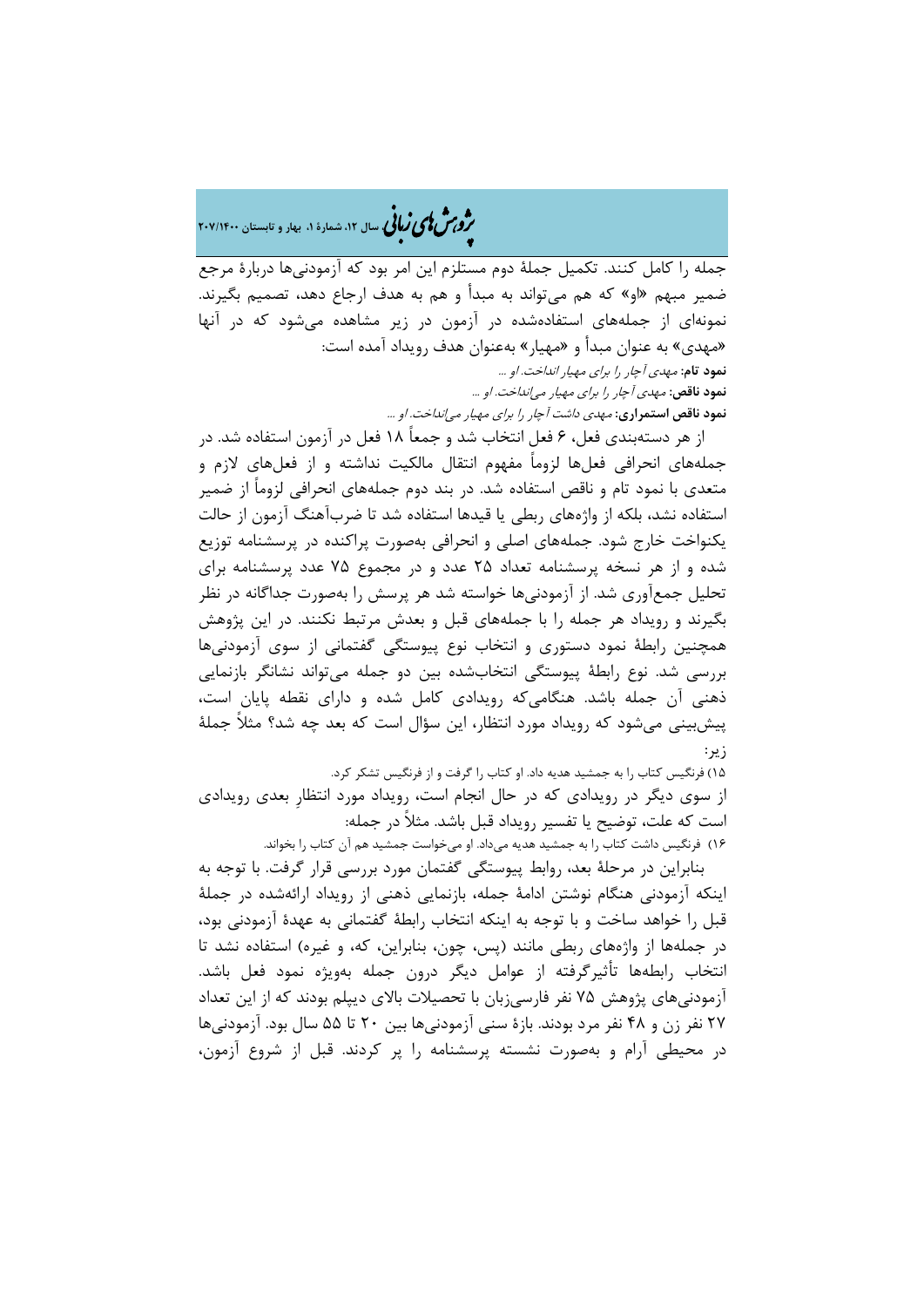�ی زبا **، سال ،12 شمارة ،1 بهار و تابستان 207/1400** � �و ی �ش

جمله را کامل کنند. تکمیل جملۀ دوم مستلزم این امر بود که آزمودنیها دربارة مرجع ضمیر مبهم «او» که هم میتواند به مبدأ و هم به هدف ارجاع دهد، تصمیم بگیرند. نمونهاي از جملههاي استفادهشده در آزمون در زیر مشاهده میشود که در آنها «مهدي» به عنوان مبدأ و «مهیار» بهعنوان هدف رویداد آمده است: **نمود تام:** مهدي آچار را براي مهیار انداخت. او ... **نمود ناقص:** مهدي آچار را براي مهیار میانداخت. او ... **نمود ناقص استمراري:** مهدي داشت آچار را براي مهیار میانداخت. او ...

از هر دستهبندي فعل، 6 فعل انتخاب شد و جمعاً 18 فعل در آزمون استفاده شد. در جملههاي انحرافی فعلها لزوماً مفهوم انتقال مالکیت نداشته و از فعلهاي لازم و متعدي با نمود تام و ناقص استفاده شد. در بند دوم جملههاي انحرافی لزوماً از ضمیر استفاده نشد، بلکه از واژههاي ربطی یا قیدها استفاده شد تا ضربآهنگ آزمون از حالت یکنواخت خارج شود. جملههاي اصلی و انحرافی بهصورت پراکنده در پرسشنامه توزیع شده و از هر نسخه پرسشنامه تعداد 25 عدد و در مجموع 75 عدد پرسشنامه براي تحلیل جمعآوري شد. از آزمودنیها خواسته شد هر پرسش را بهصورت جداگانه در نظر بگیرند و رویداد هر جمله را با جملههاي قبل و بعدش مرتبط نکنند. در این پژوهش همچنین رابطۀ نمود دستوري و انتخاب نوع پیوستگی گفتمانی از سوي آزمودنیها بررسی شد. نوع رابطۀ پیوستگی انتخابشده بین دو جمله میتواند نشانگر بازنمایی ذهنی آن جمله باشد. هنگامیکه رویدادي کامل شده و داراي نقطه پایان است، پیشبینی میشود که رویداد مورد انتظار، این سؤال است که بعد چه شد؟ مثلاً جملۀ زیر:

15) فرنگیس کتاب را به جمشید هدیه داد. او کتاب را گرفت و از فرنگیس تشکر کرد. از سوي دیگر در رویدادي که در حال انجام است، رویداد مورد انتظارِ بعدي رویدادي است که علت، توضیح یا تفسیر رویداد قبل باشد. مثلاً در جمله: 16) فرنگیس داشت کتاب را به جمشید هدیه میداد. او میخواست جمشید هم آن کتاب را بخواند.

بنابراین در مرحلۀ بعد، روابط پیوستگی گفتمان مورد بررسی قرار گرفت. با توجه به اینکه آزمودنی هنگام نوشتن ادامۀ جمله، بازنمایی ذهنی از رویداد ارائهشده در جملۀ قبل را خواهد ساخت و با توجه به اینکه انتخاب رابطۀ گفتمانی به عهدة آزمودنی بود، در جملهها از واژههاي ربطی مانند (پس، چون، بنابراین، که، و غیره) استفاده نشد تا انتخاب رابطهها تأثیرگرفته از عوامل دیگر درون جمله بهویژه نمود فعل باشد. آزمودنیهاي پژوهش 75 نفر فارسیزبان با تحصیلات بالاي دیپلم بودند که از این تعداد 27 نفر زن و 48 نفر مرد بودند. بازة سنی آزمودنیها بین 20 تا 55 سال بود. آزمودنیها در محیطی آرام و بهصورت نشسته پرسشنامه را پر کردند. قبل از شروع آزمون،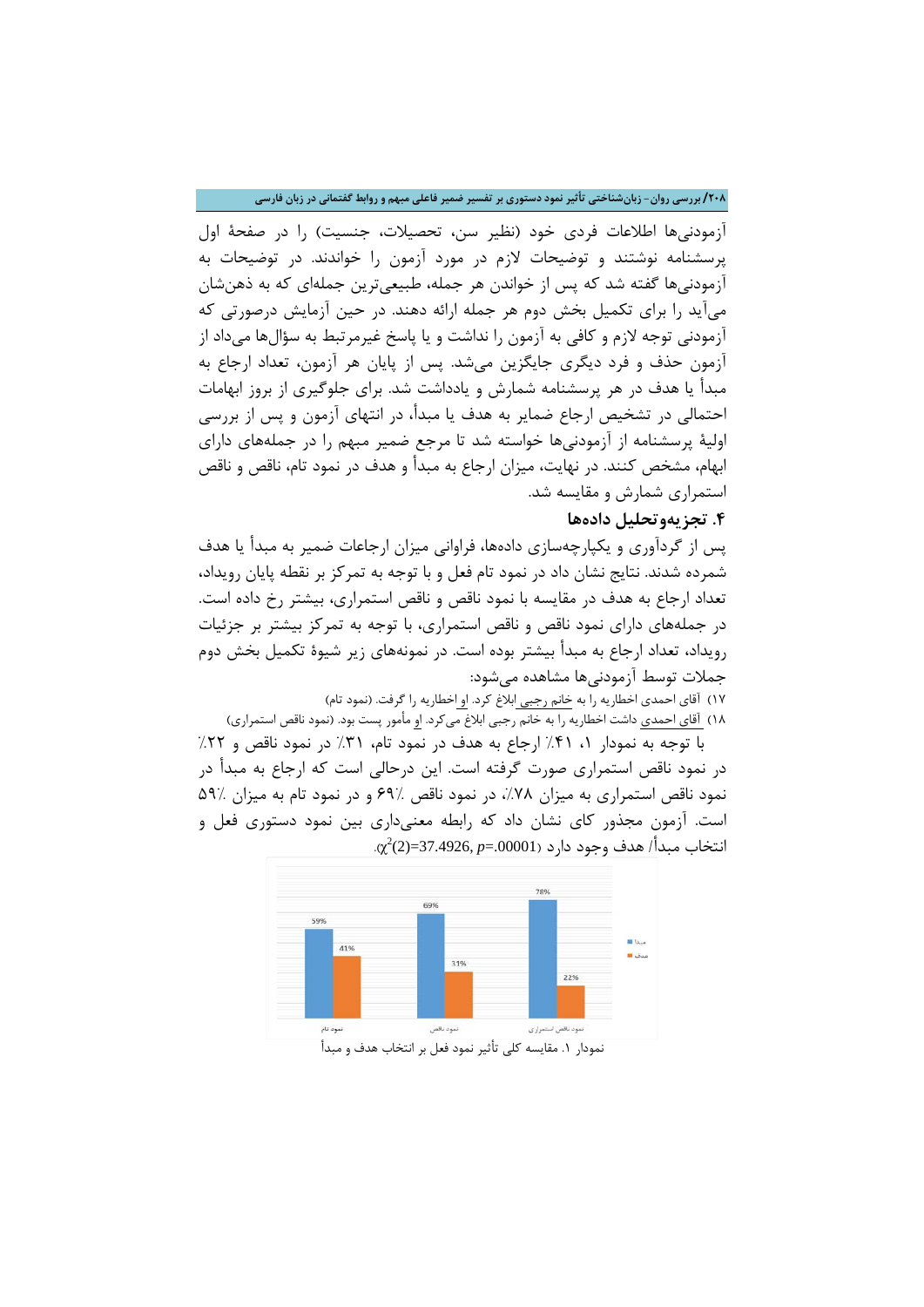**/208 بررسی روان- زبانشناختی تأثیر نمود دستوري بر تفسیر ضمیر فاعلی مبهم و روابط گفتمانی در زبان فارسی**

آزمودنیها اطلاعات فردي خود (نظیر سن، تحصیلات، جنسیت) را در صفحۀ اول پرسشنامه نوشتند و توضیحات لازم در مورد آزمون را خواندند. در توضیحات به آزمودنیها گفته شد که پس از خواندن هر جمله، طبیعیترین جملهاي که به ذهنشان میآید را براي تکمیل بخش دوم هر جمله ارائه دهند. در حین آزمایش درصورتی که آزمودنی توجه لازم و کافی به آزمون را نداشت و یا پاسخ غیرمرتبط به سؤالها میداد از آزمون حذف و فرد دیگري جایگزین میشد. پس از پایان هر آزمون، تعداد ارجاع به مبدأ یا هدف در هر پرسشنامه شمارش و یادداشت شد. براي جلوگیري از بروز ابهامات احتمالی در تشخیص ارجاع ضمایر به هدف یا مبدأ، در انتهاي آزمون و پس از بررسی اولیۀ پرسشنامه از آزمودنیها خواسته شد تا مرجع ضمیر مبهم را در جملههاي داراي ابهام، مشخص کنند. در نهایت، میزان ارجاع به مبدأ و هدف در نمود تام، ناقص و ناقص استمراري شمارش و مقایسه شد.

## **.4 تجزیهوتحلیل دادهها**

پس از گردآوري و یکپارچهسازي دادهها، فراوانی میزان ارجاعات ضمیر به مبدأ یا هدف شمرده شدند. نتایج نشان داد در نمود تام فعل و با توجه به تمرکز بر نقطه پایان رویداد، تعداد ارجاع به هدف در مقایسه با نمود ناقص و ناقص استمراري، بیشتر رخ داده است. در جملههاي داراي نمود ناقص و ناقص استمراري، با توجه به تمرکز بیشتر بر جزئیات رویداد، تعداد ارجاع به مبدأ بیشتر بوده است. در نمونههاي زیر شیوة تکمیل بخش دوم جملات توسط آزمودنیها مشاهده میشود:

17) آقاي احمدي اخطاریه را به خانم رجبی ابلاغ کرد. او اخطاریه را گرفت. (نمود تام)

۱۸) <u>آقاي احمدي</u> داشت اخطاريه را به خانم رجبي ابلاغ ميكرد. ا<u>و</u> مأمور پست بود. (نمود ناقص استمراري) با توجه به نمودار ۱، ۴۱٪ ارجاع به هدف در نمود تام، ۳۱٪ در نمود ناقص و ۲۲٪ در نمود ناقص استمراري صورت گرفته است. این درحالی است که ارجاع به مبدأ در

نمود ناقص استمراري به میزان ۷۸٪، در نمود ناقص ۶۹٪ و در نمود تام به میزان ۵۹٪ است. آزمون مجذور کاي نشان داد که رابطه معنیداري بین نمود دستوري فعل و .00001=*p* 37.4926,)=2( (. <sup>2</sup> انتخاب مبدأ/ هدف وجود دارد ( χ



نمودار ١. مقایسه کلی تأثیر نمود فعل بر انتخاب هدف و مبدأ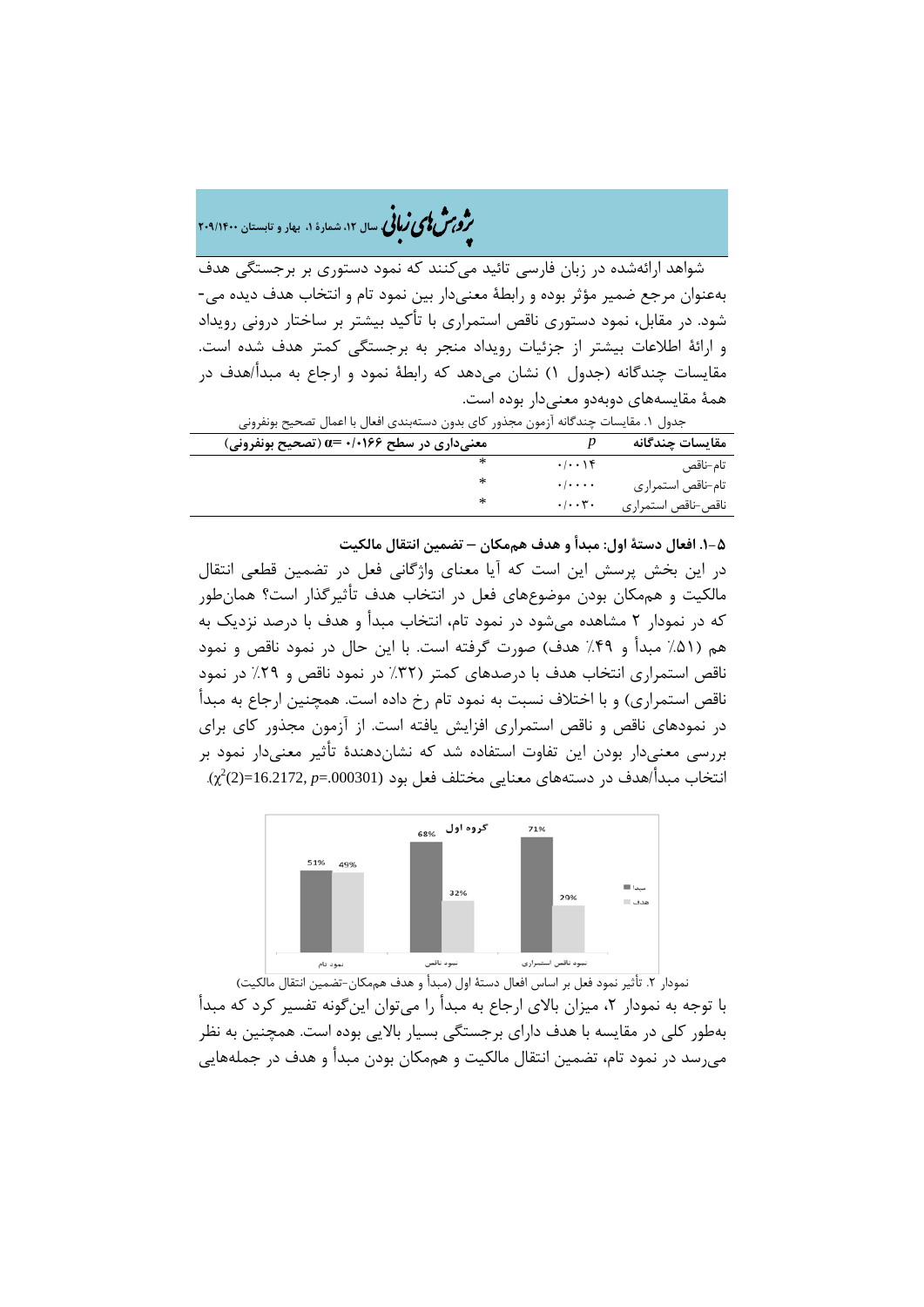## �ی زبا **، سال ،12 شمارة ،1 بهار و تابستان 209/1400** � �و ی �ش

شواهد ارائهشده در زبان فارسی تائید میکنند که نمود دستوري بر برجستگی هدف بهعنوان مرجع ضمیر مؤثر بوده و رابطۀ معنیدار بین نمود تام و انتخاب هدف دیده می- شود. در مقابل، نمود دستوري ناقص استمراري با تأکید بیشتر بر ساختار درونی رویداد و ارائۀ اطلاعات بیشتر از جزئیات رویداد منجر به برجستگی کمتر هدف شده است. مقایسات چندگانه (جدول 1) نشان میدهد که رابطۀ نمود و ارجاع به مبدأ/هدف در همۀ مقایسههاي دوبهدو معنیدار بوده است.

| جدول ١. مقايسات چندگانه آزمون مجذور كاي بدون دستهبندي افعال با اعمال تصحيح بونفروني |                                    |                    |  |
|-------------------------------------------------------------------------------------|------------------------------------|--------------------|--|
| معنیداری در سطح ۱۰۱۶۶+۰ =α (تصحیح بونفرونی)                                         |                                    | مقايسات چندگانه    |  |
|                                                                                     | $. -$                              | تام–ناقص           |  |
|                                                                                     | $\cdot$ / $\cdot$ $\cdot$ $\cdot$  | تام-ناقص استمراري  |  |
| ∗                                                                                   | $\cdot$ / $\cdot$ , $\mathbf{r}$ . | ناقص-ناقص استمراري |  |

**.1-5 افعال دستۀ اول: مبدأ و هدف هممکان – تضمین انتقال مالکیت** 

در این بخش پرسش این است که آیا معناي واژگانی فعل در تضمین قطعی انتقال مالکیت و هممکان بودن موضوعهاي فعل در انتخاب هدف تأثیرگذار است؟ همانطور که در نمودار 2 مشاهده میشود در نمود تام، انتخاب مبدأ و هدف با درصد نزدیک به هم (%51 مبدأ و %49 هدف) صورت گرفته است. با این حال در نمود ناقص و نمود ناقص استمراري انتخاب هدف با درصدهاي کمتر (%32 در نمود ناقص و %29 در نمود ناقص استمراري) و با اختلاف نسبت به نمود تام رخ داده است. همچنین ارجاع به مبدأ در نمودهاي ناقص و ناقص استمراري افزایش یافته است. از آزمون مجذور کاي براي بررسی معنیدار بودن این تفاوت استفاده شد که نشاندهندة تأثیر معنیدار نمود بر (.000301=*p* 16.2172,)=2 (. <sup>2</sup> انتخاب مبدأ/هدف در دستههاي معنایی مختلف فعل بود χ(



نمودار .2 تأثیر نمود فعل بر اساس افعال دستۀ اول (مبدأ و هدف هممکان-تضمین انتقال مالکیت) با توجه به نمودار ۲، میزان بالای ارجاع به مبدأ را میتوان اینگونه تفسیر کرد که مبدأ بهطور کلی در مقایسه با هدف داراي برجستگی بسیار بالایی بوده است. همچنین به نظر میرسد در نمود تام، تضمین انتقال مالکیت و هممکان بودن مبدأ و هدف در جملههایی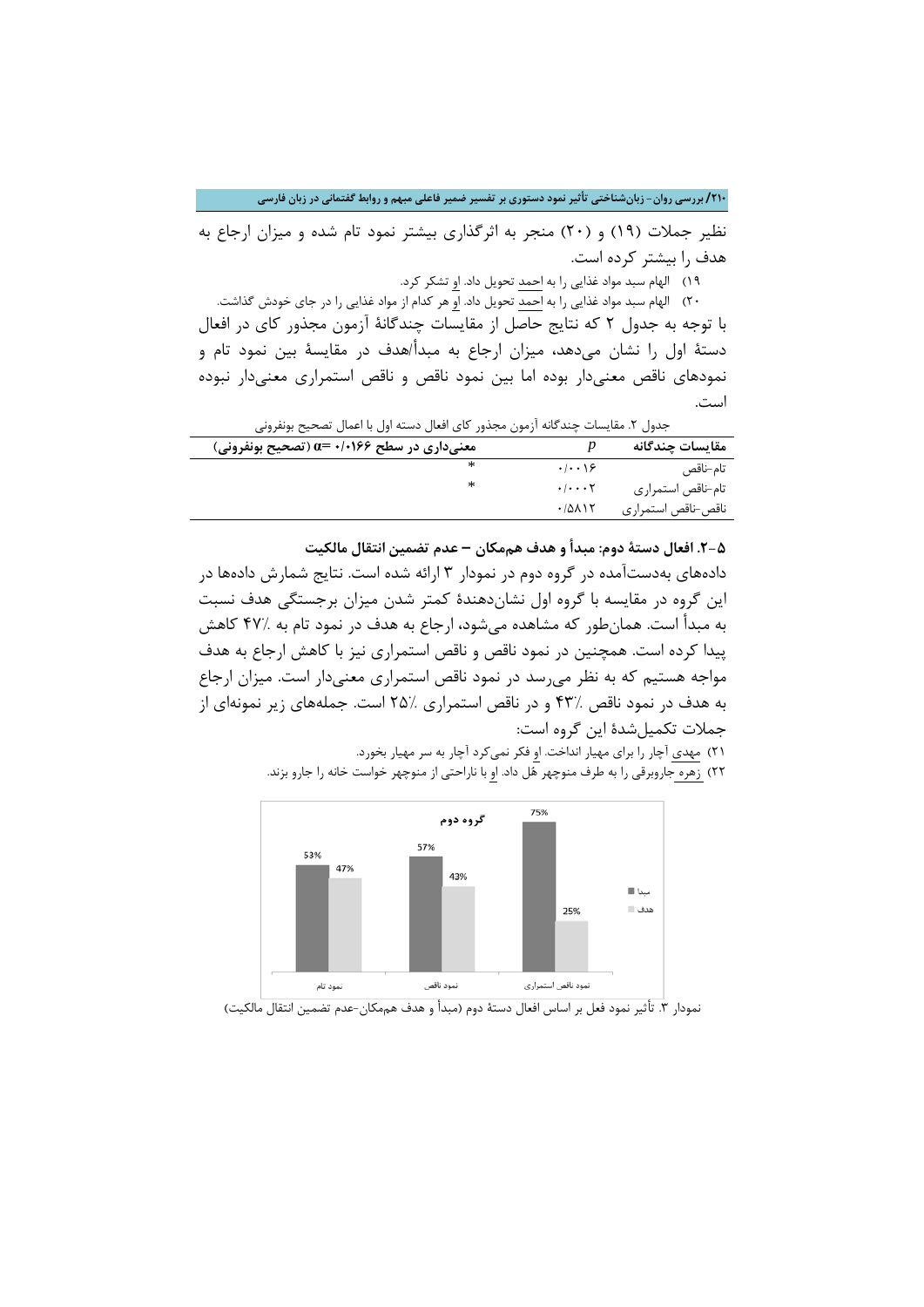نظیر جملات (19) و (20) منجر به اثرگذاري بیشتر نمود تام شده و میزان ارجاع به هدف را بیشتر کرده است.

19) الهام سبد مواد غذایی را به احمد تحویل داد. او تشکر کرد.

20) الهام سبد مواد غذایی را به احمد تحویل داد. او هر کدام از مواد غذایی را در جاي خودش گذاشت. با توجه به جدول 2 که نتایج حاصل از مقایسات چندگانۀ آزمون مجذور کاي در افعال دستۀ اول را نشان میدهد، میزان ارجاع به مبدأ/هدف در مقایسۀ بین نمود تام و نمودهاي ناقص معنیدار بوده اما بین نمود ناقص و ناقص استمراري معنیدار نبوده است.

جدول ٢. مقایسات چندگانه آزمون مجذور کای افعال دسته اول با اعمال تصحیح بونفرونی

| معنیداری در سطح ۱٬۰۱۶۶ =α (تصحیح بونفرونی) |                                           | مقايسات چندگانه    |
|--------------------------------------------|-------------------------------------------|--------------------|
|                                            | .1.19                                     | تام–ناقص           |
| ∗                                          | $\cdot$ / $\cdot$ $\cdot$ $\cdot$ $\cdot$ | تام-ناقص استمراري  |
|                                            | .70117                                    | ناقص-ناقص استمراري |

**.2-5 افعال دستۀ دوم: مبدأ و هدف هممکان – عدم تضمین انتقال مالکیت** 

دادههاي بهدستآمده در گروه دوم در نمودار 3 ارائه شده است. نتایج شمارش دادهها در این گروه در مقایسه با گروه اول نشاندهندة کمتر شدن میزان برجستگی هدف نسبت به مبدأ است. همانطور که مشاهده میشود، ارجاع به هدف در نمود تام به 47% کاهش پیدا کرده است. همچنین در نمود ناقص و ناقص استمراري نیز با کاهش ارجاع به هدف مواجه هستیم که به نظر میرسد در نمود ناقص استمراري معنیدار است. میزان ارجاع به هدف در نمود ناقص 43% و در ناقص استمراري 25% است. جملههاي زیر نمونهاي از جملات تکمیلشدة این گروه است:

> ۲۱) مهدي آچار را براي مهيار انداخت. ا<u>و</u> فکر نميکرد آچار به سر مهيار بخورد. 22) زهره جاروبرقی را به طرف منوچهر هل داد. او با ناراحتی از منوچهر خواست خانه را جارو بزند.



نمودار .3 تأثیر نمود فعل بر اساس افعال دستۀ دوم (مبدأ و هدف هممکان-عدم تضمین انتقال مالکیت)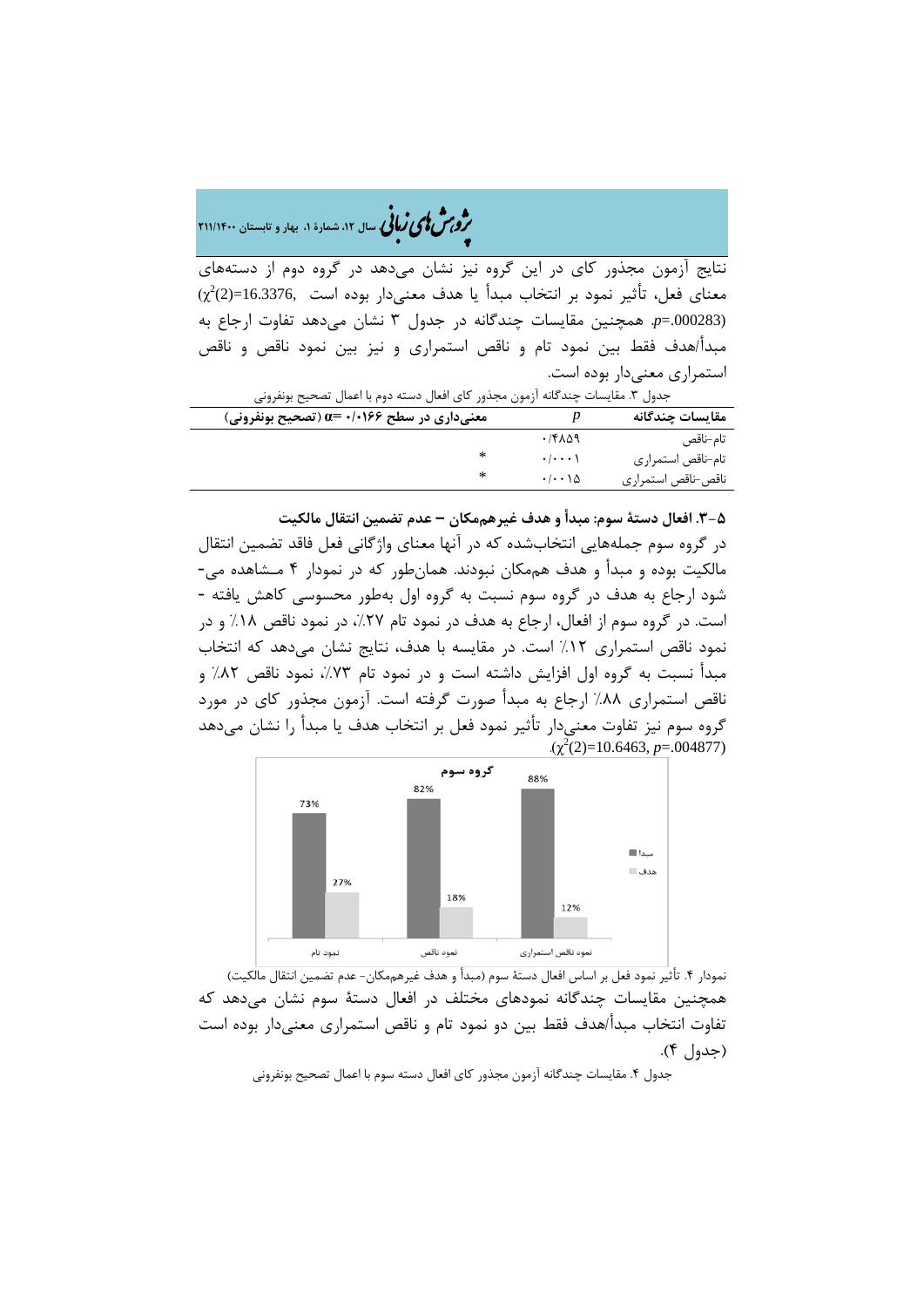�ی زبا **، سال ،12 شمارة ،1 بهار و تابستان 211/1400** � �و ی �ش

نتایج آزمون مجذور کاي در این گروه نیز نشان میدهد در گروه دوم از دستههاي  $\chi^2$ (2)=16.3376, معنای فعل، تأثیر نمود بر انتخاب مبدأ یا هدف معنیدار بوده است (.000283=*p*. همچنین مقایسات چندگانه در جدول 3 نشان میدهد تفاوت ارجاع به مبدأ/هدف فقط بین نمود تام و ناقص استمراري و نیز بین نمود ناقص و ناقص استمراري معنیدار بوده است.

| جدول ٣. مقايسات چندگانه ازمون مجذور كاي افعال دسته دوم با اعمال تصحيح بونفروني |                    |  |  |
|--------------------------------------------------------------------------------|--------------------|--|--|
|                                                                                | مقايسات چندگانه    |  |  |
| ۰/۴۸۵۹                                                                         | تام–ناقص           |  |  |
| $\cdot$ / $\cdot$ $\cdot$ \                                                    | تام-ناقص استمراري  |  |  |
| $\cdot$ / $\cdot$ \ $\Delta$                                                   | ناقص-ناقص استمراري |  |  |
|                                                                                |                    |  |  |

**.3-5 افعال دستۀ سوم: مبدأ و هدف غیرهممکان – عدم تضمین انتقال مالکیت** 

در گروه سوم جملههایی انتخابشده که در آنها معناي واژگانی فعل فاقد تضمین انتقال مالکیت بوده و مبدأ و هدف هممکان نبودند. همانطور که در نمودار 4 مـشاهده می- شود ارجاع به هدف در گروه سوم نسبت به گروه اول بهطور محسوسی کاهش یافته - است. در گروه سوم از افعال، ارجاع به هدف در نمود تام ۲۷٪، در نمود ناقص ۱۸٪ و در نمود ناقص استمراري %12 است. در مقایسه با هدف، نتایج نشان میدهد که انتخاب مبدأ نسبت به گروه اول افزایش داشته است و در نمود تام ۷۳٪، نمود ناقص ۸۲٪ و ناقص استمراري %88 ارجاع به مبدأ صورت گرفته است. آزمون مجذور کاي در مورد گروه سوم نیز تفاوت معنیدار تأثیر نمود فعل بر انتخاب هدف یا مبدأ را نشان میدهد  $(\chi^2(2)=10.6463, p=.004877)$ 



نمودار ۴. تأثیر نمود فعل بر اساس افعال دستۀ سوم (مبدأ و هدف غیرهممکان- عدم تضمین انتقال مالکیت) همچنین مقایسات چندگانه نمودهاي مختلف در افعال دستۀ سوم نشان میدهد که تفاوت انتخاب مبدأ/هدف فقط بین دو نمود تام و ناقص استمراري معنیدار بوده است (جدول 4).

جدول ۴. مقایسات چندگانه آزمون مجذور کای افعال دسته سوم با اعمال تصحیح بونفرونی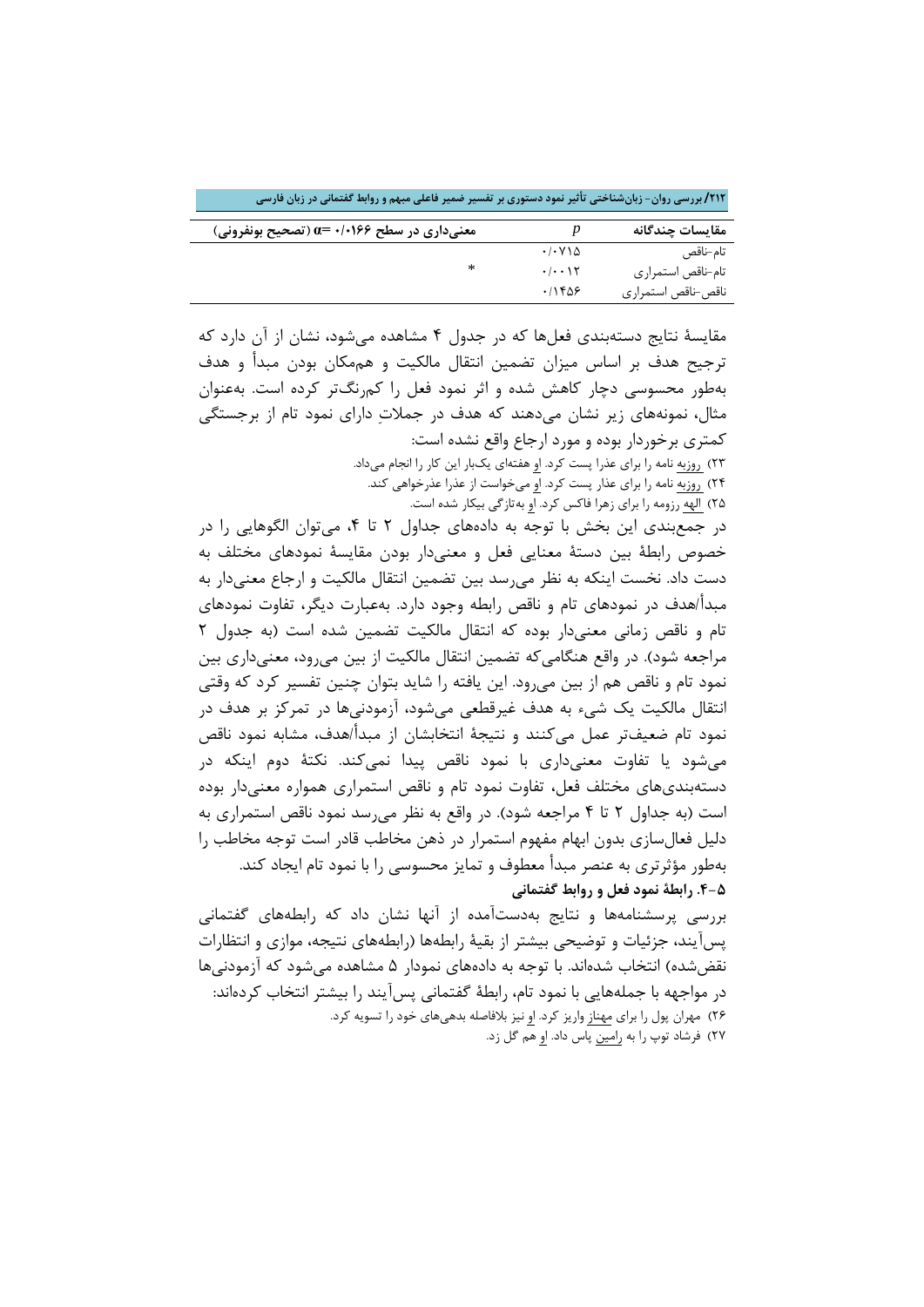**/212 بررسی روان- زبانشناختی تأثیر نمود دستوري بر تفسیر ضمیر فاعلی مبهم و روابط گفتمانی در زبان فارسی**

| معنیداری در سطح ۱۰۱۶۶+ =0 (تصحیح بونفرونی) |                                            | مقايسات چندگانه    |
|--------------------------------------------|--------------------------------------------|--------------------|
|                                            | $\cdot$ / $\cdot$ $\vee$ $\wedge$ $\wedge$ | تام–ناقص           |
| ∗                                          | $. -15$                                    | تام-ناقص استمراري  |
|                                            | ۱۱۴۵۶                                      | ناقص-ناقص استمراري |

مقایسۀ نتایج دستهبندي فعلها که در جدول 4 مشاهده میشود، نشان از آن دارد که ترجیح هدف بر اساس میزان تضمین انتقال مالکیت و هممکان بودن مبدأ و هدف بهطور محسوسی دچار کاهش شده و اثر نمود فعل را کمرنگتر کرده است. بهعنوان مثال، نمونههاي زیر نشان میدهند که هدف در جملات داراي نمود تام از برجستگی کمتري برخوردار بوده و مورد ارجاع واقع نشده است: 23) روزبه نامه را براي عذرا پست کرد. او هفتهاي یکبار این کار را انجام میداد.

24) روزبه نامه را براي عذار پست کرد. او میخواست از عذرا عذرخواهی کند. 25) الهه رزومه را براي زهرا فاکس کرد. او بهتازگی بیکار شده است.

در جمعبندي این بخش با توجه به دادههاي جداول 2 تا ،4 میتوان الگوهایی را در خصوص رابطۀ بین دستۀ معنایی فعل و معنیدار بودن مقایسۀ نمودهاي مختلف به دست داد. نخست اینکه به نظر میرسد بین تضمین انتقال مالکیت و ارجاع معنیدار به مبدأ/هدف در نمودهاي تام و ناقص رابطه وجود دارد. بهعبارت دیگر، تفاوت نمودهاي تام و ناقص زمانی معنیدار بوده که انتقال مالکیت تضمین شده است (به جدول 2 مراجعه شود). در واقع هنگامی که تضمین انتقال مالکیت از بین می رود، معنی داری بین نمود تام و ناقص هم از بین میرود. این یافته را شاید بتوان چنین تفسیر کرد که وقتی انتقال مالکیت یک شیء به هدف غیرقطعی میشود، آزمودنیها در تمرکز بر هدف در نمود تام ضعیفتر عمل میکنند و نتیجۀ انتخابشان از مبدأ/هدف، مشابه نمود ناقص میشود یا تفاوت معنیداري با نمود ناقص پیدا نمیکند. نکتۀ دوم اینکه در دستهبنديهاي مختلف فعل، تفاوت نمود تام و ناقص استمراري همواره معنیدار بوده است (به جداول 2 تا 4 مراجعه شود). در واقع به نظر میرسد نمود ناقص استمراري به دلیل فعالسازي بدون ابهام مفهوم استمرار در ذهن مخاطب قادر است توجه مخاطب را بهطور مؤثرتري به عنصر مبدأ معطوف و تمایز محسوسی را با نمود تام ایجاد کند. **.4-5 رابطۀ نمود فعل و روابط گفتمانی**

بررسی پرسشنامهها و نتایج بهدستآمده از آنها نشان داد که رابطههاي گفتمانی پسآیند، جزئیات و توضیحی بیشتر از بقیۀ رابطهها (رابطههاي نتیجه، موازي و انتظارات نقضشده) انتخاب شدهاند. با توجه به دادههاي نمودار 5 مشاهده میشود که آزمودنیها در مواجهه با جملههایی با نمود تام، رابطۀ گفتمانی پسآیند را بیشتر انتخاب کردهاند: 26) مهران پول را براي مهناز واریز کرد. او نیز بلافاصله بدهیهاي خود را تسویه کرد. 27) فرشاد توپ را به رامین پاس داد. او هم گل زد.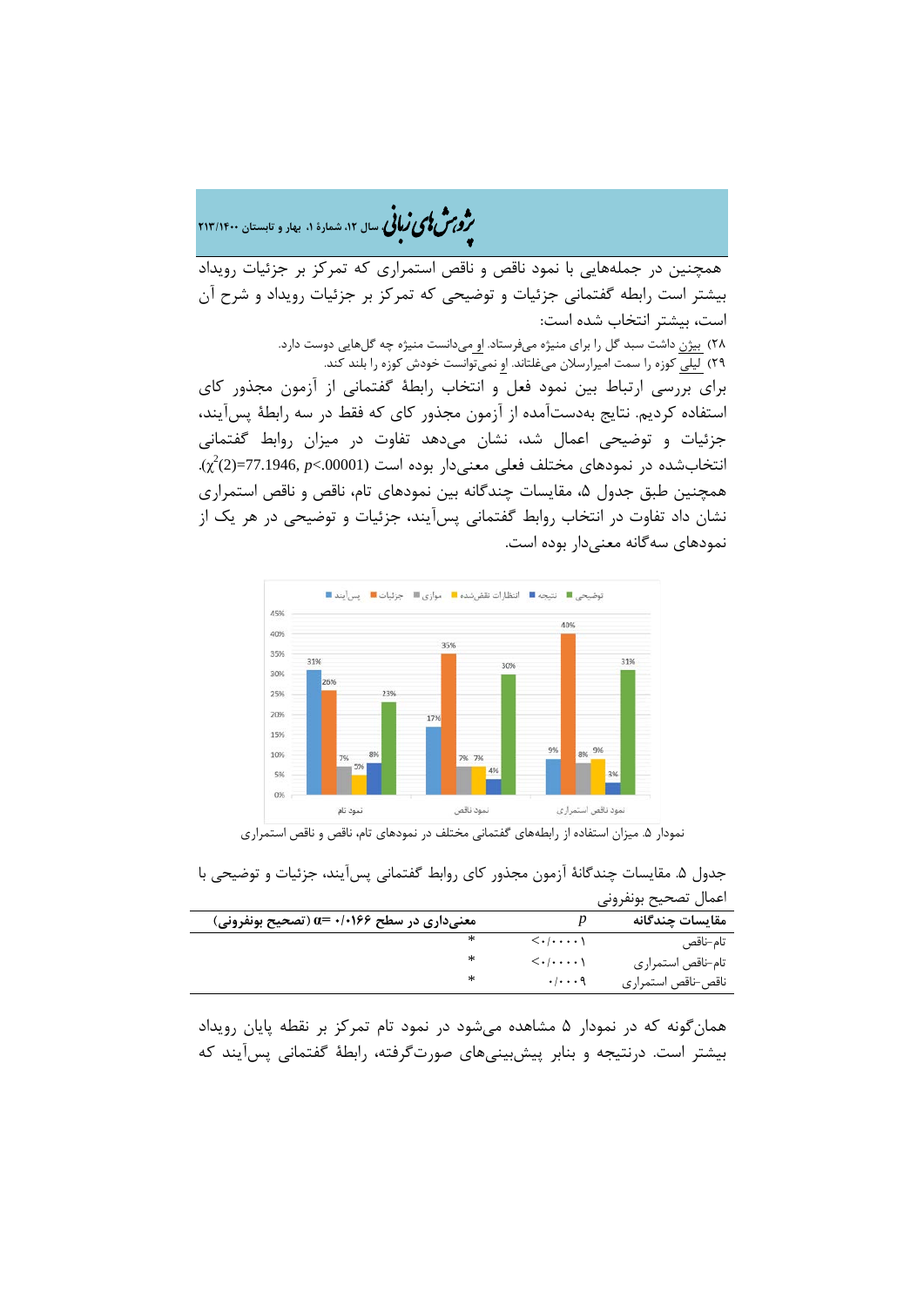�ی زبا **، سال ،12 شمارة ،1 بهار و تابستان 213/1400** � �و ی �ش

همچنین در جملههایی با نمود ناقص و ناقص استمراري که تمرکز بر جزئیات رویداد بیشتر است رابطه گفتمانی جزئیات و توضیحی که تمرکز بر جزئیات رویداد و شرح آن است، بیشتر انتخاب شده است: 28) بیژن داشت سبد گل را براي منیژه میفرستاد. او میدانست منیژه چه گلهایی دوست دارد. 29) لیلی کوزه را سمت امیرارسلان میغلتاند. او نمیتوانست خودش کوزه را بلند کند. براي بررسی ارتباط بین نمود فعل و انتخاب رابطۀ گفتمانی از آزمون مجذور کاي استفاده کردیم. نتایج بهدستآمده از آزمون مجذور کاي که فقط در سه رابطۀ پسآیند، جزئیات و توضیحی اعمال شد، نشان میدهد تفاوت در میزان روابط گفتمانی (.00001>*p* 77.1946,)=2 (. <sup>2</sup> انتخابشده در نمودهاي مختلف فعلی معنیدار بوده است χ( همچنین طبق جدول ۵، مقایسات چندگانه بین نمودهای تام، ناقص و ناقص استمراری نشان داد تفاوت در انتخاب روابط گفتمانی پسآیند، جزئیات و توضیحی در هر یک از نمودهاي سهگانه معنیدار بوده است.



نمودار .5 میزان استفاده از رابطههاي گفتمانی مختلف در نمودهاي تام، ناقص و ناقص استمراري

جدول ۵. مقایسات چندگانۀ آزمون مجذور کای روابط گفتمانی پسآیند، جزئیات و توضیحی با اعمال تصحیح بونفرونی

| معنیداری در سطح ۱٬۰۱۶۶+ =α (تصحیح بونفرونی) |                                        | مقايسات چندگانه    |
|---------------------------------------------|----------------------------------------|--------------------|
|                                             | $\langle \cdot   \cdots \cdot \rangle$ | تام–ناقص           |
|                                             | $\langle \cdot   \cdots \cdot \rangle$ | تام-ناقص استمراري  |
|                                             | $\cdot$ / $\cdot$ $\cdot$ 9            | ناقص-ناقص استمراري |

همانگونه که در نمودار 5 مشاهده میشود در نمود تام تمرکز بر نقطه پایان رویداد بیشتر است. درنتیجه و بنابر پیشبینیهاي صورتگرفته، رابطۀ گفتمانی پسآیند که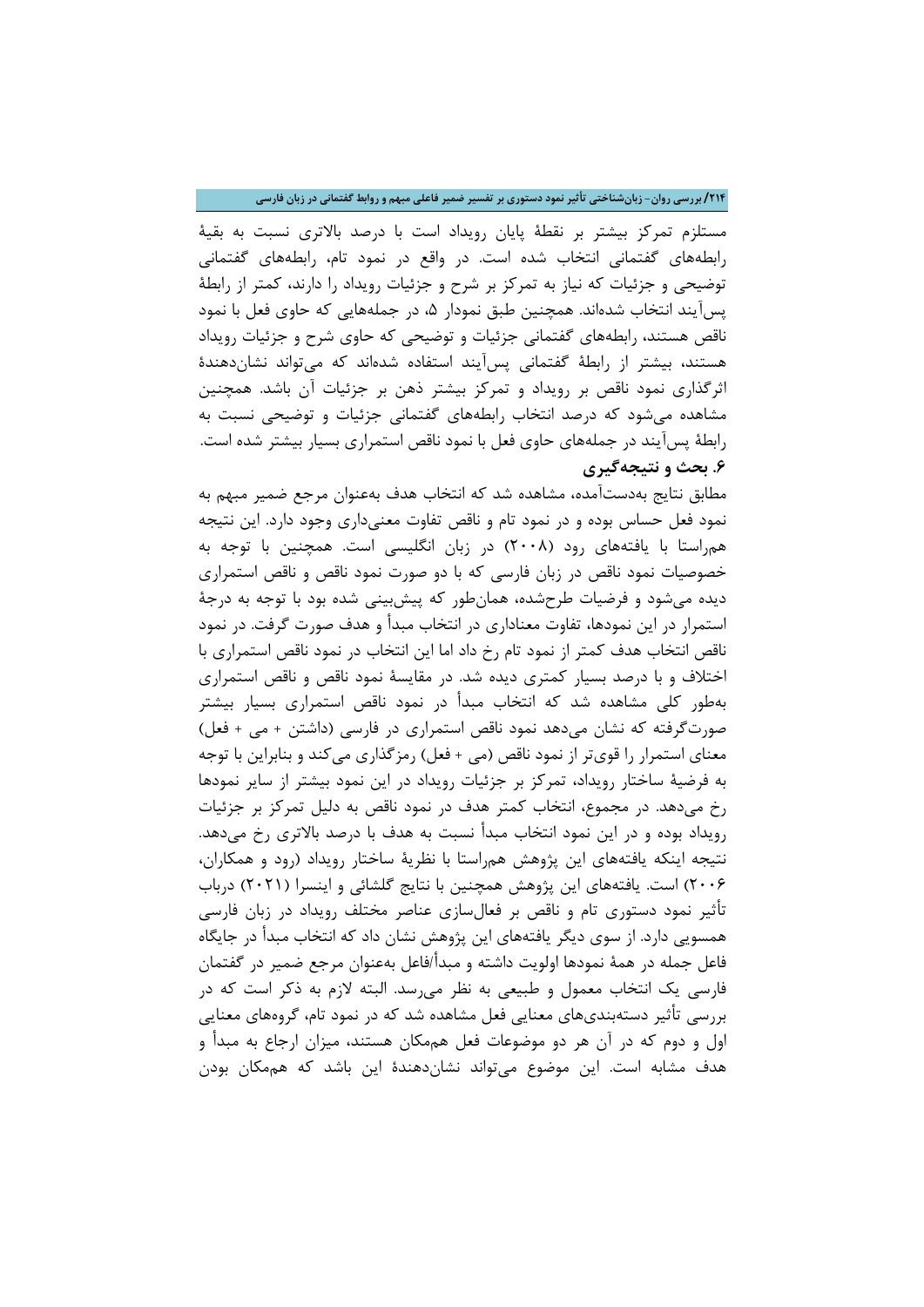**/214 بررسی روان- زبانشناختی تأثیر نمود دستوري بر تفسیر ضمیر فاعلی مبهم و روابط گفتمانی در زبان فارسی**

مستلزم تمرکز بیشتر بر نقطۀ پایان رویداد است با درصد بالاتري نسبت به بقیۀ رابطههاي گفتمانی انتخاب شده است. در واقع در نمود تام، رابطههاي گفتمانی توضیحی و جزئیات که نیاز به تمرکز بر شرح و جزئیات رویداد را دارند، کمتر از رابطۀ پسآیند انتخاب شدهاند. همچنین طبق نمودار ۵، در جملههایی که حاوی فعل با نمود ناقص هستند، رابطههاي گفتمانی جزئیات و توضیحی که حاوي شرح و جزئیات رویداد هستند، بیشتر از رابطۀ گفتمانی پسآیند استفاده شدهاند که میتواند نشاندهندة اثرگذاري نمود ناقص بر رویداد و تمرکز بیشتر ذهن بر جزئیات آن باشد. همچنین مشاهده میشود که درصد انتخاب رابطههاي گفتمانی جزئیات و توضیحی نسبت به رابطۀ پسآیند در جملههاي حاوي فعل با نمود ناقص استمراري بسیار بیشتر شده است. **.6 بحث و نتیجهگیري**

مطابق نتایج بهدستآمده، مشاهده شد که انتخاب هدف بهعنوان مرجع ضمیر مبهم به نمود فعل حساس بوده و در نمود تام و ناقص تفاوت معنیداري وجود دارد. این نتیجه همراستا با یافتههاي رود (2008) در زبان انگلیسی است. همچنین با توجه به خصوصیات نمود ناقص در زبان فارسی که با دو صورت نمود ناقص و ناقص استمراري دیده میشود و فرضیات طرحشده، همانطور که پیشبینی شده بود با توجه به درجۀ استمرار در این نمودها، تفاوت معناداري در انتخاب مبدأ و هدف صورت گرفت. در نمود ناقص انتخاب هدف کمتر از نمود تام رخ داد اما این انتخاب در نمود ناقص استمراري با اختلاف و با درصد بسیار کمتري دیده شد. در مقایسۀ نمود ناقص و ناقص استمراري بهطور کلی مشاهده شد که انتخاب مبدأ در نمود ناقص استمراري بسیار بیشتر صورتگرفته که نشان میدهد نمود ناقص استمراري در فارسی (داشتن + می + فعل) معناي استمرار را قويتر از نمود ناقص (می + فعل) رمزگذاري میکند و بنابراین با توجه به فرضیۀ ساختار رویداد، تمرکز بر جزئیات رویداد در این نمود بیشتر از سایر نمودها رخ میدهد. در مجموع، انتخاب کمتر هدف در نمود ناقص به دلیل تمرکز بر جزئیات رویداد بوده و در این نمود انتخاب مبدأ نسبت به هدف با درصد بالاتري رخ میدهد. نتیجه اینکه یافتههاي این پژوهش همراستا با نظریۀ ساختار رویداد (رود و همکاران، 2006) است. یافتههاي این پژوهش همچنین با نتایج گلشائی و اینسرا (2021) درباب تأثیر نمود دستوري تام و ناقص بر فعالسازي عناصر مختلف رویداد در زبان فارسی همسویی دارد. از سوي دیگر یافتههاي این پژوهش نشان داد که انتخاب مبدأ در جایگاه فاعل جمله در همۀ نمودها اولویت داشته و مبدأ/فاعل بهعنوان مرجع ضمیر در گفتمان فارسی یک انتخاب معمول و طبیعی به نظر میرسد. البته لازم به ذکر است که در بررسی تأثیر دستهبنديهاي معنایی فعل مشاهده شد که در نمود تام، گروههاي معنایی اول و دوم که در آن هر دو موضوعات فعل هممکان هستند، میزان ارجاع به مبدأ و هدف مشابه است. این موضوع میتواند نشاندهندة این باشد که هممکان بودن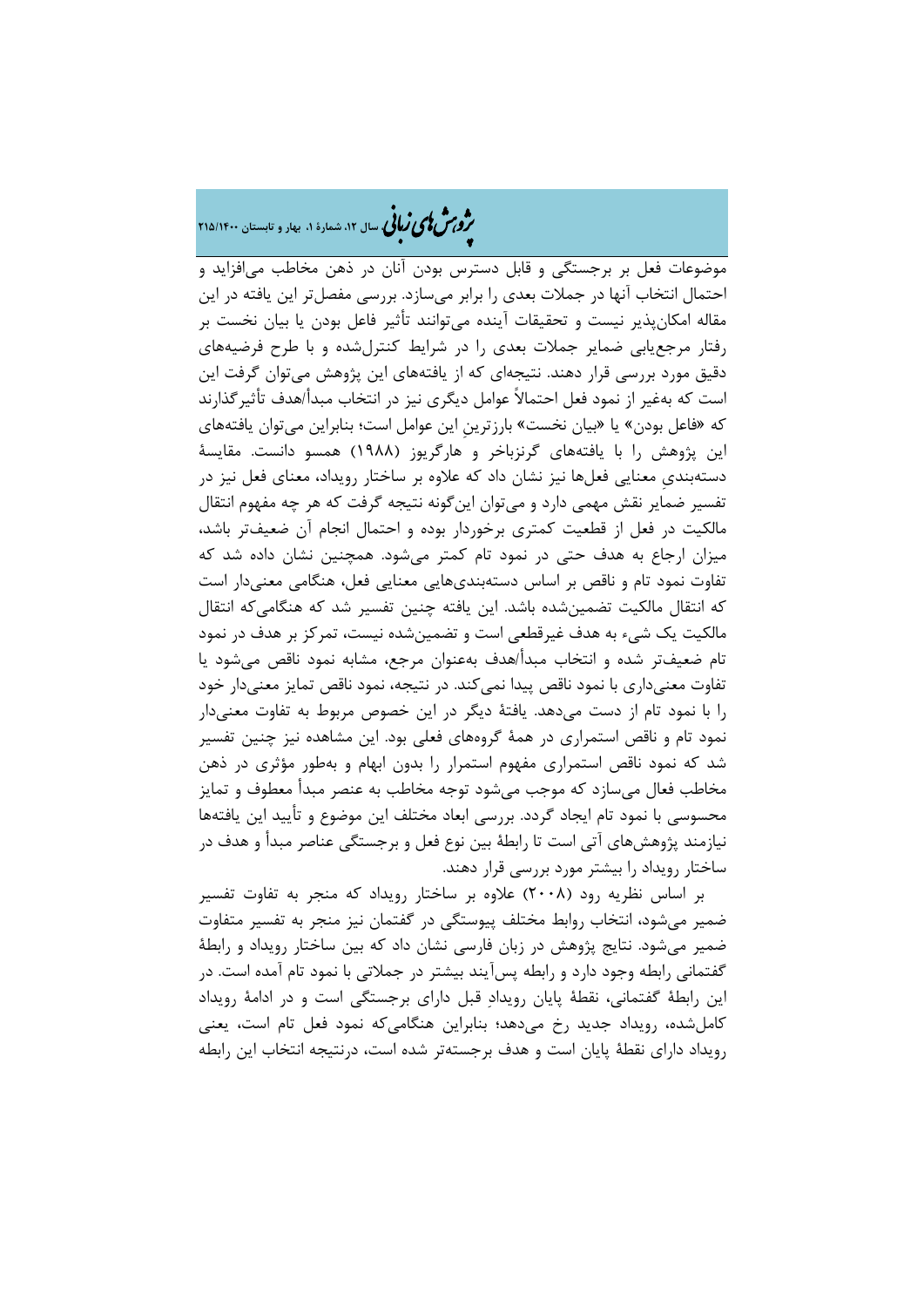# �ی زبا **، سال ،12 شمارة ،1 بهار و تابستان 215/1400** � �و ی �ش

موضوعات فعل بر برجستگی و قابل دسترس بودن آنان در ذهن مخاطب میافزاید و احتمال انتخاب آنها در جملات بعدي را برابر میسازد. بررسی مفصلتر این یافته در این مقاله امکانپذیر نیست و تحقیقات آینده میتوانند تأثیر فاعل بودن یا بیان نخست بر رفتار مرجعیابی ضمایر جملات بعدي را در شرایط کنترلشده و با طرح فرضیههاي دقیق مورد بررسی قرار دهند. نتیجهاي که از یافتههاي این پژوهش میتوان گرفت این است که بهغیر از نمود فعل احتمالاً عوامل دیگري نیز در انتخاب مبدأ/هدف تأثیرگذارند که «فاعل بودن» یا «بیان نخست» بارزترینِ این عوامل است؛ بنابراین میتوان یافتههاي این پژوهش را با یافتههاي گرنزباخر و هارگریوز (1988) همسو دانست. مقایسۀ دستهبنديِ معنایی فعلها نیز نشان داد که علاوه بر ساختار رویداد، معناي فعل نیز در تفسیر ضمایر نقش مهمی دارد و میتوان اینگونه نتیجه گرفت که هر چه مفهوم انتقال مالکیت در فعل از قطعیت کمتري برخوردار بوده و احتمال انجام آن ضعیفتر باشد، میزان ارجاع به هدف حتی در نمود تام کمتر میشود. همچنین نشان داده شد که تفاوت نمود تام و ناقص بر اساس دستهبنديهایی معنایی فعل، هنگامی معنیدار است که انتقال مالکیت تضمینشده باشد. این یافته چنین تفسیر شد که هنگامیکه انتقال مالکیت یک شیء به هدف غیرقطعی است و تضمینشده نیست، تمرکز بر هدف در نمود تام ضعیفتر شده و انتخاب مبدأ/هدف بهعنوان مرجع، مشابه نمود ناقص میشود یا تفاوت معنیداري با نمود ناقص پیدا نمیکند. در نتیجه، نمود ناقص تمایز معنیدار خود را با نمود تام از دست میدهد. یافتۀ دیگر در این خصوص مربوط به تفاوت معنیدار نمود تام و ناقص استمراري در همۀ گروههاي فعلی بود. این مشاهده نیز چنین تفسیر شد که نمود ناقص استمراري مفهوم استمرار را بدون ابهام و بهطور مؤثري در ذهن مخاطب فعال میسازد که موجب میشود توجه مخاطب به عنصر مبدأ معطوف و تمایز محسوسی با نمود تام ایجاد گردد. بررسی ابعاد مختلف این موضوع و تأیید این یافتهها نیازمند پژوهشهاي آتی است تا رابطۀ بین نوع فعل و برجستگی عناصر مبدأ و هدف در ساختار رویداد را بیشتر مورد بررسی قرار دهند.

بر اساس نظریه رود (2008) علاوه بر ساختار رویداد که منجر به تفاوت تفسیر ضمیر میشود، انتخاب روابط مختلف پیوستگی در گفتمان نیز منجر به تفسیر متفاوت ضمیر میشود. نتایج پژوهش در زبان فارسی نشان داد که بین ساختار رویداد و رابطۀ گفتمانی رابطه وجود دارد و رابطه پسآیند بیشتر در جملاتی با نمود تام آمده است. در این رابطۀ گفتمانی، نقطۀ پایان رویداد قبل داراي برجستگی است و در ادامۀ رویداد کاملشده، رویداد جدید رخ میدهد؛ بنابراین هنگامیکه نمود فعل تام است، یعنی رویداد داراي نقطۀ پایان است و هدف برجستهتر شده است، درنتیجه انتخاب این رابطه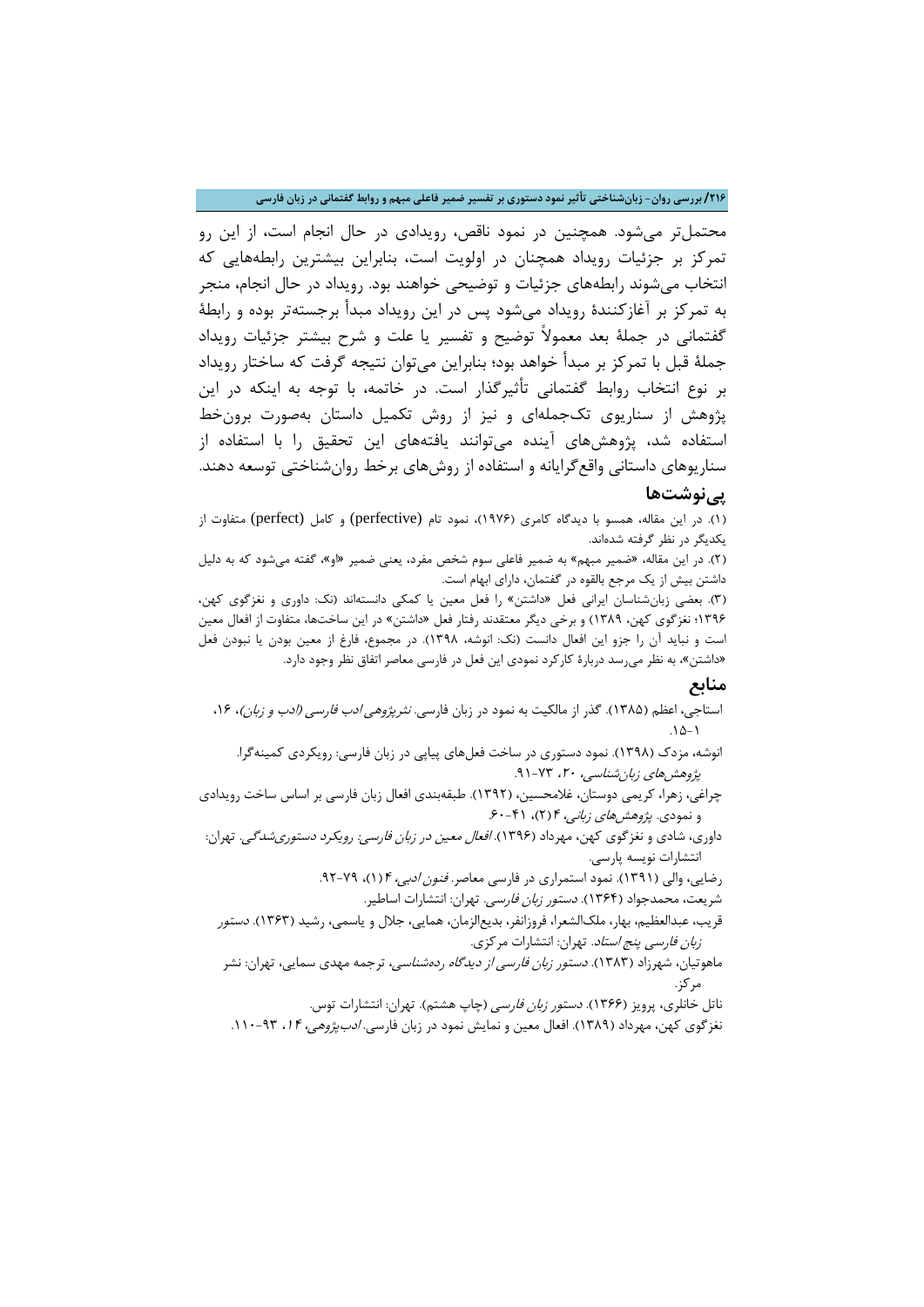**/216 بررسی روان- زبانشناختی تأثیر نمود دستوري بر تفسیر ضمیر فاعلی مبهم و روابط گفتمانی در زبان فارسی**

محتملتر میشود. همچنین در نمود ناقص، رویدادي در حال انجام است، از این رو تمرکز بر جزئیات رویداد همچنان در اولویت است، بنابراین بیشترین رابطههایی که انتخاب میشوند رابطههاي جزئیات و توضیحی خواهند بود. رویداد در حال انجام، منجر به تمرکز بر آغازکنندة رویداد میشود پس در این رویداد مبدأ برجستهتر بوده و رابطۀ گفتمانی در جملۀ بعد معمولاً توضیح و تفسیر یا علت و شرح بیشتر جزئیات رویداد جملۀ قبل با تمرکز بر مبدأ خواهد بود؛ بنابراین میتوان نتیجه گرفت که ساختار رویداد بر نوع انتخاب روابط گفتمانی تأثیرگذار است. در خاتمه، با توجه به اینکه در این پژوهش از سناریوي تکجملهاي و نیز از روش تکمیل داستان بهصورت برونخط استفاده شد، پژوهشهاي آینده میتوانند یافتههاي این تحقیق را با استفاده از سناریوهاي داستانی واقعگرایانه و استفاده از روشهاي برخط روانشناختی توسعه دهند.

## **پینوشتها**

(1). در این مقاله، همسو با دیدگاه کامري (1976)، نمود تام (perfective (و کامل (perfect (متفاوت از یکدیگر در نظر گرفته شدهاند.

(2). در این مقاله، «ضمیر مبهم» به ضمیر فاعلی سوم شخص مفرد، یعنی ضمیر «او»، گفته میشود که به دلیل داشتن بیش از یک مرجع بالقوه در گفتمان، داراي ابهام است.

(3). بعضی زبانشناسان ایرانی فعل «داشتن» را فعل معین یا کمکی دانستهاند (نک: داوري و نغزگوي کهن، 1396؛ نغزگوي کهن، 1389) و برخی دیگر معتقدند رفتار فعل «داشتن» در این ساختها، متفاوت از افعال معین است و نباید آن را جزو این افعال دانست (نک: انوشه، 1398). در مجموع، فارغ از معین بودن یا نبودن فعل «داشتن»، به نظر میرسد دربارة کارکرد نمودي این فعل در فارسی معاصر اتفاق نظر وجود دارد.

### **منابع**

- استاجی، اعظم (۱۳۸۵). گذر از مالکیت به نمود در زبان فارسی. *نثرپژوهی ادب فارسی (ادب و زبان)*، ۱۶، . $10-1$ 
	- انوشه، مزدك (1398). نمود دستوري در ساخت فعلهاي پیاپی در زبان فارسی: رویکردي کمینهگرا. پژوهشهای زبان شناسی، ۲۰، ۷۳-۹۱.

چراغی، زهرا، کریمی دوستان، غلامحسین، (1392). طبقهبندي افعال زبان فارسی بر اساس ساخت رویدادي و نمودي. *پژوهشهای زبانی، ۴* (۲)، ۴۱-۶۰.

داوري، شادي و نغزگوي کهن، مهرداد (1396). افعال معین در زبان فارسی: رویکرد دستوريشدگی. تهران: انتشارات نویسه پارسی.

رضایی، والی (۱۳۹۱). نمود استمراری در فارسی معاصر. *فنون ادبی، ۴*(۱)، ۷۹-۹۲.

شریعت، محمدجواد (1364). دستور زبان فارسی. تهران: انتشارات اساطیر.

قریب، عبدالعظیم، بهار، ملکالشعرا، فروزانفر، بدیعالزمان، همایی، جلال و یاسمی، رشید (1363). دستور زبان فارسی پنج استاد. تهران: انتشارات مرکزي.

ماهوتیان، شهرزاد (۱۳۸۳). *دستور زبان فارسی از دیدگاه ردهشناسی*، ترجمه مهدی سمایی، تهران: نشر مرکز.

ناتل خانلري، پرویز (۱۳۶۶). *دستور زبان فارسی* (چاپ هشتم). تهران: انتشارات توس.

نغزگوي کهن، مهرداد (۱۳۸۹). افعال معین و نمایش نمود در زبان فارسي. *ادبپژوهي، ۱۴*، ۹۳-۱۱۰.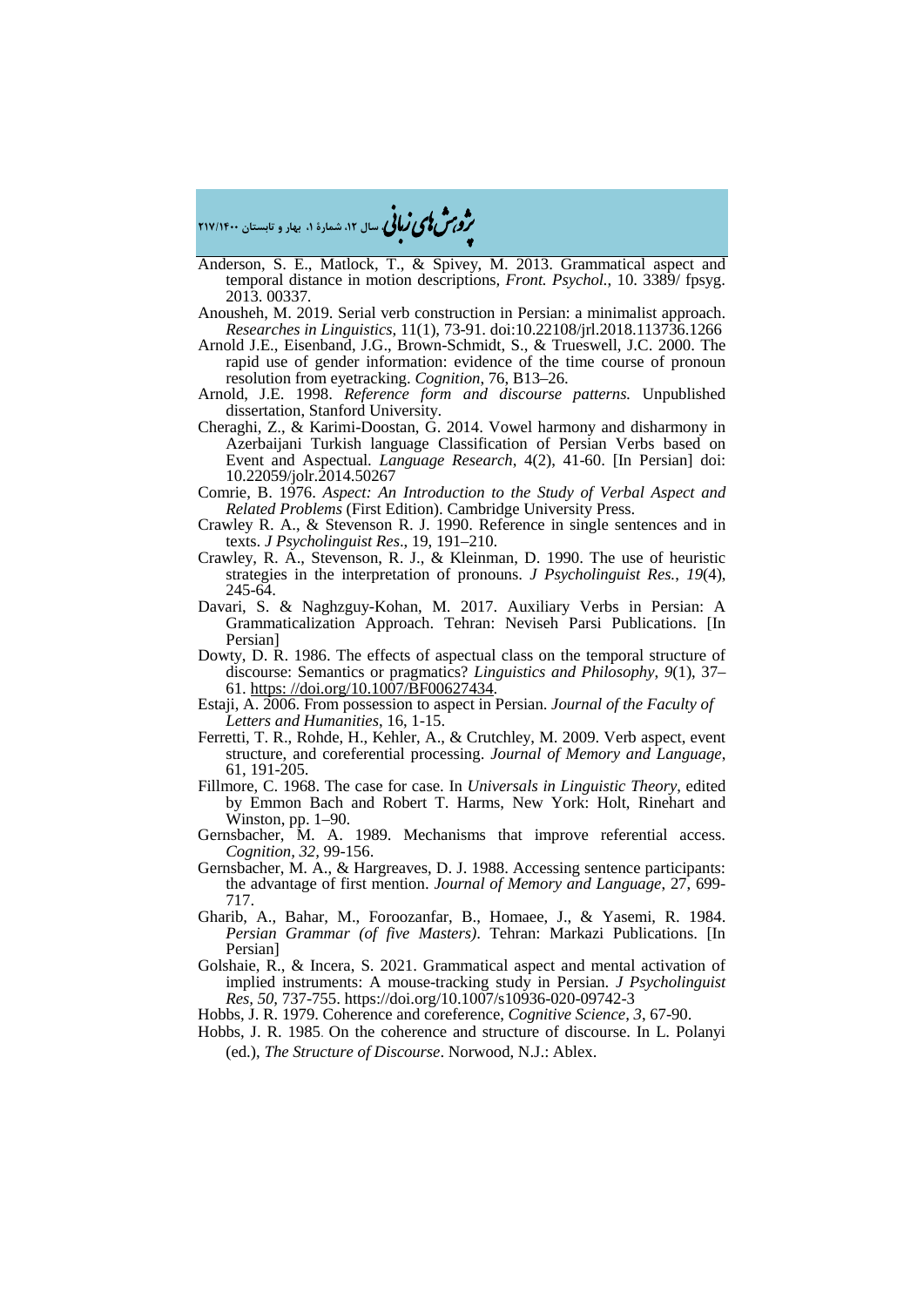�ی زبا **، سال ،12 شمارة ،1 بهار و تابستان 217/1400** � �و ی �ش

Anderson, S. E., Matlock, T., & Spivey, M. 2013. Grammatical aspect and temporal distance in motion descriptions*, Front. Psychol.*, 10. 3389/ fpsyg. 2013. 00337.

Anousheh, M. 2019. Serial verb construction in Persian: a minimalist approach. *Researches in Linguistics*, 11(1), 73-91. doi:10.22108/jrl.2018.113736.1266

- Arnold J.E., Eisenband, J.G., Brown-Schmidt, S., & Trueswell, J.C. 2000. The rapid use of gender information: evidence of the time course of pronoun resolution from eyetracking. *Cognition*, 76, B13–26.
- Arnold, J.E. 1998. *Reference form and discourse patterns.* Unpublished dissertation, Stanford University.
- Cheraghi, Z., & Karimi-Doostan, G. 2014. Vowel harmony and disharmony in Azerbaijani Turkish language Classification of Persian Verbs based on Event and Aspectual. *Language Research*, 4(2), 41-60. [In Persian] doi: 10.22059/jolr.2014.50267
- Comrie, B. 1976. *Aspect: An Introduction to the Study of Verbal Aspect and Related Problems* (First Edition). Cambridge University Press.
- Crawley R. A., & Stevenson R. J. 1990. Reference in single sentences and in texts. *J Psycholinguist Res*., 19, 191–210.
- Crawley, R. A., Stevenson, R. J., & Kleinman, D. 1990. The use of heuristic strategies in the interpretation of pronouns. *J Psycholinguist Res.*, *19*(4), 245-64.
- Davari, S. & Naghzguy-Kohan, M. 2017. Auxiliary Verbs in Persian: A Grammaticalization Approach. Tehran: Neviseh Parsi Publications. [In Persian]
- Dowty, D. R. 1986. The effects of aspectual class on the temporal structure of discourse: Semantics or pragmatics? *Linguistics and Philosophy*, 9(1), 37–61. https://doi.org/10.1007/BF00627434.
- Estaji, A. 2006. From possession to aspect in Persian. *Journal of the Faculty of Letters and Humanities*, 16, 1-15.
- Ferretti, T. R., Rohde, H., Kehler, A., & Crutchley, M. 2009. Verb aspect, event structure, and coreferential processing. *Journal of Memory and Language*, 61, 191-205.
- Fillmore, C. 1968. The case for case. In *Universals in Linguistic Theory*, edited by Emmon Bach and Robert T. Harms, New York: Holt, Rinehart and Winston, pp. 1–90.
- Gernsbacher, M. A. 1989. Mechanisms that improve referential access. *Cognition, 32,* 99-156.
- Gernsbacher, M. A., & Hargreaves, D. J. 1988. Accessing sentence participants: the advantage of first mention. *Journal of Memory and Language*, 27, 699- 717.
- Gharib, A., Bahar, M., Foroozanfar, B., Homaee, J., & Yasemi, R. 1984. *Persian Grammar (of five Masters)*. Tehran: Markazi Publications. [In Persian]
- Golshaie, R., & Incera, S. 2021. Grammatical aspect and mental activation of implied instruments: A mouse-tracking study in Persian. *J Psycholinguist Res, 50,* 737-755. https://doi.org/10.1007/s10936-020-09742-3
- Hobbs, J. R. 1979. Coherence and coreference, *Cognitive Science, 3*, 67-90.
- Hobbs, J. R. 1985. On the coherence and structure of discourse. In L. Polanyi (ed.), *The Structure of Discourse*. Norwood, N.J.: Ablex.